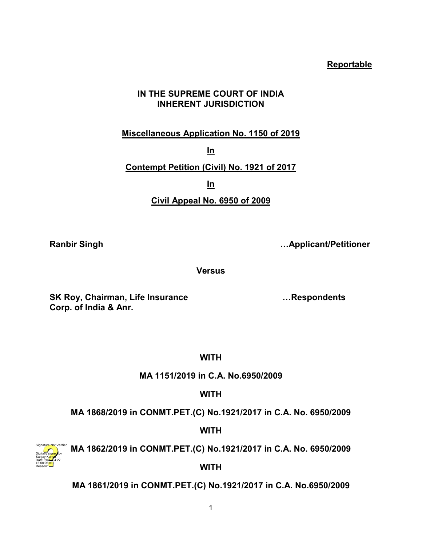# **Reportable**

# **IN THE SUPREME COURT OF INDIA INHERENT JURISDICTION**

# **Miscellaneous Application No. 1150 of 2019**

**In**

# **Contempt Petition (Civil) No. 1921 of 2017**

**In**

# **Civil Appeal No. 6950 of 2009**

**Ranbir Singh …Applicant/Petitioner** 

**Versus**

**SK Roy, Chairman, Life Insurance …Respondents Corp. of India & Anr.**

**WITH**

**MA 1151/2019 in C.A. No.6950/2009**

**WITH**

**MA 1868/2019 in CONMT.PET.(C) No.1921/2017 in C.A. No. 6950/2009**

**WITH**



**MA 1862/2019 in CONMT.PET.(C) No.1921/2017 in C.A. No. 6950/2009**

**WITH**

**MA 1861/2019 in CONMT.PET.(C) No.1921/2017 in C.A. No.6950/2009**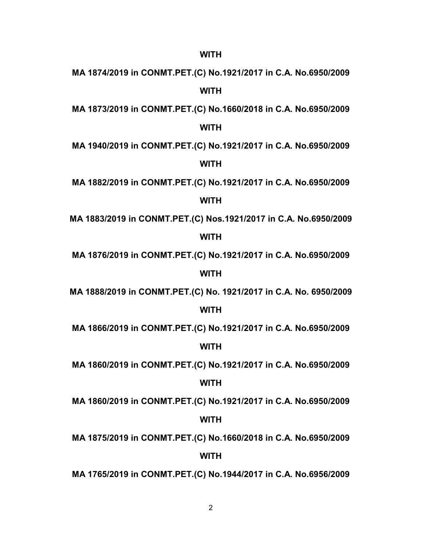# **MA 1874/2019 in CONMT.PET.(C) No.1921/2017 in C.A. No.6950/2009 WITH**

**MA 1873/2019 in CONMT.PET.(C) No.1660/2018 in C.A. No.6950/2009**

## **WITH**

**MA 1940/2019 in CONMT.PET.(C) No.1921/2017 in C.A. No.6950/2009**

#### **WITH**

**MA 1882/2019 in CONMT.PET.(C) No.1921/2017 in C.A. No.6950/2009**

#### **WITH**

**MA 1883/2019 in CONMT.PET.(C) Nos.1921/2017 in C.A. No.6950/2009**

## **WITH**

**MA 1876/2019 in CONMT.PET.(C) No.1921/2017 in C.A. No.6950/2009**

## **WITH**

**MA 1888/2019 in CONMT.PET.(C) No. 1921/2017 in C.A. No. 6950/2009**

#### **WITH**

**MA 1866/2019 in CONMT.PET.(C) No.1921/2017 in C.A. No.6950/2009**

## **WITH**

**MA 1860/2019 in CONMT.PET.(C) No.1921/2017 in C.A. No.6950/2009**

#### **WITH**

**MA 1860/2019 in CONMT.PET.(C) No.1921/2017 in C.A. No.6950/2009**

## **WITH**

**MA 1875/2019 in CONMT.PET.(C) No.1660/2018 in C.A. No.6950/2009**

## **WITH**

**MA 1765/2019 in CONMT.PET.(C) No.1944/2017 in C.A. No.6956/2009**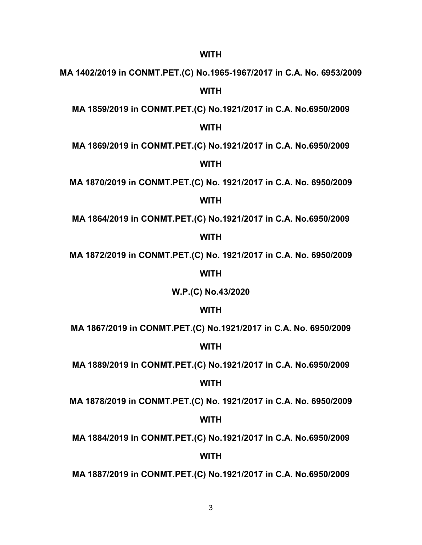**MA 1402/2019 in CONMT.PET.(C) No.1965-1967/2017 in C.A. No. 6953/2009 WITH**

**MA 1859/2019 in CONMT.PET.(C) No.1921/2017 in C.A. No.6950/2009**

#### **WITH**

**MA 1869/2019 in CONMT.PET.(C) No.1921/2017 in C.A. No.6950/2009**

#### **WITH**

**MA 1870/2019 in CONMT.PET.(C) No. 1921/2017 in C.A. No. 6950/2009**

#### **WITH**

**MA 1864/2019 in CONMT.PET.(C) No.1921/2017 in C.A. No.6950/2009**

#### **WITH**

**MA 1872/2019 in CONMT.PET.(C) No. 1921/2017 in C.A. No. 6950/2009**

## **WITH**

**W.P.(C) No.43/2020**

#### **WITH**

**MA 1867/2019 in CONMT.PET.(C) No.1921/2017 in C.A. No. 6950/2009**

## **WITH**

**MA 1889/2019 in CONMT.PET.(C) No.1921/2017 in C.A. No.6950/2009**

## **WITH**

**MA 1878/2019 in CONMT.PET.(C) No. 1921/2017 in C.A. No. 6950/2009**

#### **WITH**

**MA 1884/2019 in CONMT.PET.(C) No.1921/2017 in C.A. No.6950/2009**

## **WITH**

**MA 1887/2019 in CONMT.PET.(C) No.1921/2017 in C.A. No.6950/2009**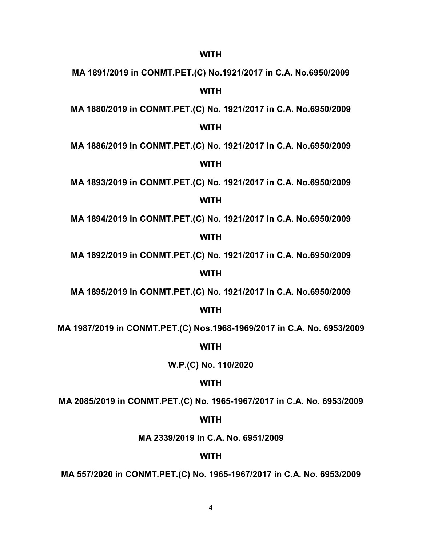**MA 1891/2019 in CONMT.PET.(C) No.1921/2017 in C.A. No.6950/2009 WITH**

**MA 1880/2019 in CONMT.PET.(C) No. 1921/2017 in C.A. No.6950/2009**

## **WITH**

**MA 1886/2019 in CONMT.PET.(C) No. 1921/2017 in C.A. No.6950/2009**

## **WITH**

**MA 1893/2019 in CONMT.PET.(C) No. 1921/2017 in C.A. No.6950/2009**

#### **WITH**

**MA 1894/2019 in CONMT.PET.(C) No. 1921/2017 in C.A. No.6950/2009**

#### **WITH**

**MA 1892/2019 in CONMT.PET.(C) No. 1921/2017 in C.A. No.6950/2009**

## **WITH**

**MA 1895/2019 in CONMT.PET.(C) No. 1921/2017 in C.A. No.6950/2009**

#### **WITH**

**MA 1987/2019 in CONMT.PET.(C) Nos.1968-1969/2017 in C.A. No. 6953/2009**

#### **WITH**

**W.P.(C) No. 110/2020**

## **WITH**

**MA 2085/2019 in CONMT.PET.(C) No. 1965-1967/2017 in C.A. No. 6953/2009**

#### **WITH**

**MA 2339/2019 in C.A. No. 6951/2009**

#### **WITH**

**MA 557/2020 in CONMT.PET.(C) No. 1965-1967/2017 in C.A. No. 6953/2009**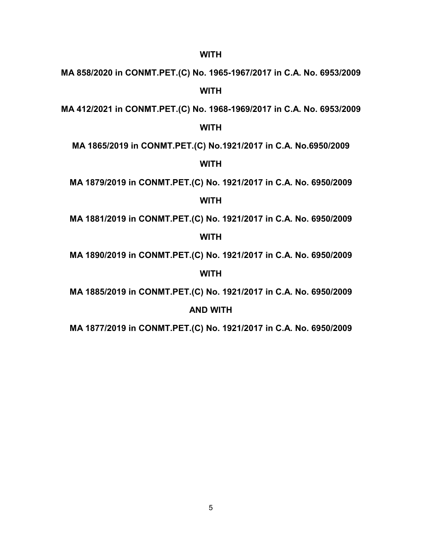**MA 858/2020 in CONMT.PET.(C) No. 1965-1967/2017 in C.A. No. 6953/2009 WITH**

**MA 412/2021 in CONMT.PET.(C) No. 1968-1969/2017 in C.A. No. 6953/2009**

## **WITH**

**MA 1865/2019 in CONMT.PET.(C) No.1921/2017 in C.A. No.6950/2009**

## **WITH**

**MA 1879/2019 in CONMT.PET.(C) No. 1921/2017 in C.A. No. 6950/2009**

#### **WITH**

**MA 1881/2019 in CONMT.PET.(C) No. 1921/2017 in C.A. No. 6950/2009**

#### **WITH**

**MA 1890/2019 in CONMT.PET.(C) No. 1921/2017 in C.A. No. 6950/2009**

## **WITH**

**MA 1885/2019 in CONMT.PET.(C) No. 1921/2017 in C.A. No. 6950/2009**

#### **AND WITH**

**MA 1877/2019 in CONMT.PET.(C) No. 1921/2017 in C.A. No. 6950/2009**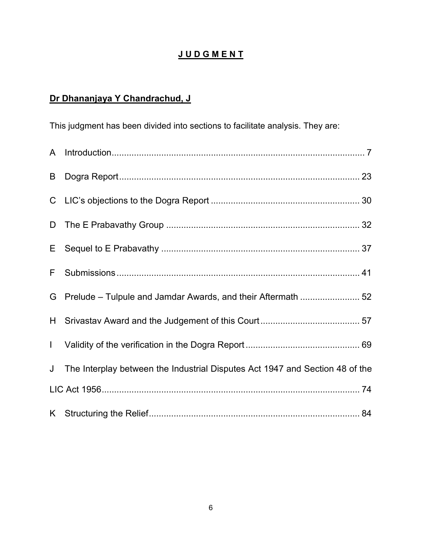# **J U D G M E N T**

# **Dr Dhananjaya Y Chandrachud, J**

This judgment has been divided into sections to facilitate analysis. They are:

| B            |                                                                              |
|--------------|------------------------------------------------------------------------------|
|              |                                                                              |
| D            |                                                                              |
| E.           |                                                                              |
| F.           |                                                                              |
| G            | Prelude - Tulpule and Jamdar Awards, and their Aftermath  52                 |
|              |                                                                              |
| $\mathbf{L}$ |                                                                              |
| J            | The Interplay between the Industrial Disputes Act 1947 and Section 48 of the |
|              |                                                                              |
|              |                                                                              |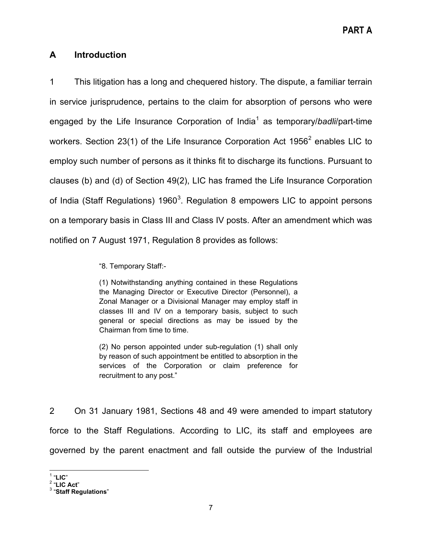# <span id="page-6-0"></span>**A Introduction**

1 This litigation has a long and chequered history. The dispute, a familiar terrain in service jurisprudence, pertains to the claim for absorption of persons who were engaged by the Life Insurance Corporation of India<sup>[1](#page-6-1)</sup> as temporary/*badli*/part-time workers. Section [2](#page-6-2)3(1) of the Life Insurance Corporation Act  $1956<sup>2</sup>$  enables LIC to employ such number of persons as it thinks fit to discharge its functions. Pursuant to clauses (b) and (d) of Section 49(2), LIC has framed the Life Insurance Corporation of India (Staff Regulations) 1960 $^3$  $^3$ . Regulation 8 empowers LIC to appoint persons on a temporary basis in Class III and Class IV posts. After an amendment which was notified on 7 August 1971, Regulation 8 provides as follows:

"8. Temporary Staff:-

(1) Notwithstanding anything contained in these Regulations the Managing Director or Executive Director (Personnel), a Zonal Manager or a Divisional Manager may employ staff in classes III and IV on a temporary basis, subject to such general or special directions as may be issued by the Chairman from time to time.

(2) No person appointed under sub-regulation (1) shall only by reason of such appointment be entitled to absorption in the services of the Corporation or claim preference for recruitment to any post."

2 On 31 January 1981, Sections 48 and 49 were amended to impart statutory force to the Staff Regulations. According to LIC, its staff and employees are governed by the parent enactment and fall outside the purview of the Industrial

<span id="page-6-3"></span><span id="page-6-2"></span><span id="page-6-1"></span><sup>1</sup> "**LIC**" <sup>2</sup> "**LIC Act**" <sup>3</sup> "**Staff Regulations**"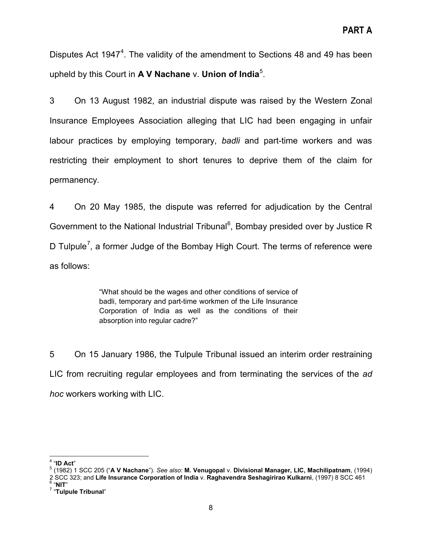Disputes Act 19[4](#page-7-0)7<sup>4</sup>. The validity of the amendment to Sections 48 and 49 has been upheld by this Court in **A V Nachane** v. **Union of India**[5](#page-7-1) .

3 On 13 August 1982, an industrial dispute was raised by the Western Zonal Insurance Employees Association alleging that LIC had been engaging in unfair labour practices by employing temporary, *badli* and part-time workers and was restricting their employment to short tenures to deprive them of the claim for permanency.

4 On 20 May 1985, the dispute was referred for adjudication by the Central Government to the National Industrial Tribunal<sup>[6](#page-7-2)</sup>, Bombay presided over by Justice R D Tulpule<sup>[7](#page-7-3)</sup>, a former Judge of the Bombay High Court. The terms of reference were as follows:

> "What should be the wages and other conditions of service of badli, temporary and part-time workmen of the Life Insurance Corporation of India as well as the conditions of their absorption into regular cadre?"

5 On 15 January 1986, the Tulpule Tribunal issued an interim order restraining LIC from recruiting regular employees and from terminating the services of the *ad hoc* workers working with LIC.

<span id="page-7-1"></span><span id="page-7-0"></span><sup>4</sup> "**ID Act**" <sup>5</sup> (1982) 1 SCC 205 ("**<sup>A</sup> V Nachane**"). *See also*: **M. Venugopal** v. **Divisional Manager, LIC, Machilipatnam**, (1994) 2 SCC 323; and Life Insurance Corporation of India v. Raghavendra Seshagirirao Kulkarni, (1997) 8 SCC 461<br><sup>6</sup> "NIT"<br><sup>7</sup> "Tulpule Tribunal"

<span id="page-7-3"></span><span id="page-7-2"></span>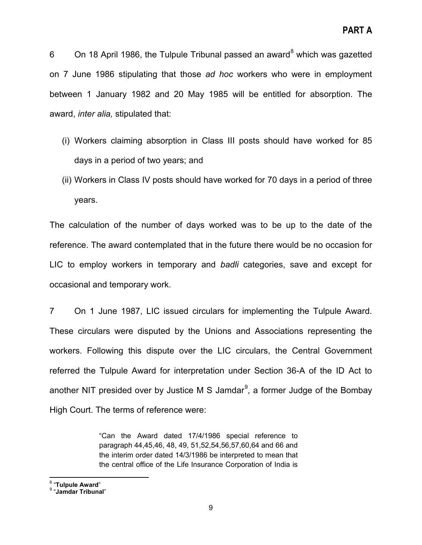6 On 1[8](#page-8-0) April 1986, the Tulpule Tribunal passed an award $8$  which was gazetted on 7 June 1986 stipulating that those *ad hoc* workers who were in employment between 1 January 1982 and 20 May 1985 will be entitled for absorption. The award, *inter alia,* stipulated that:

- (i) Workers claiming absorption in Class III posts should have worked for 85 days in a period of two years; and
- (ii) Workers in Class IV posts should have worked for 70 days in a period of three years.

The calculation of the number of days worked was to be up to the date of the reference. The award contemplated that in the future there would be no occasion for LIC to employ workers in temporary and *badli* categories, save and except for occasional and temporary work.

7 On 1 June 1987, LIC issued circulars for implementing the Tulpule Award. These circulars were disputed by the Unions and Associations representing the workers. Following this dispute over the LIC circulars, the Central Government referred the Tulpule Award for interpretation under Section 36-A of the ID Act to another NIT presided over by Justice M S Jamdar<sup>[9](#page-8-1)</sup>, a former Judge of the Bombay High Court. The terms of reference were:

> "Can the Award dated 17/4/1986 special reference to paragraph 44,45,46, 48, 49, 51,52,54,56,57,60,64 and 66 and the interim order dated 14/3/1986 be interpreted to mean that the central office of the Life Insurance Corporation of India is

<span id="page-8-1"></span><span id="page-8-0"></span><sup>8</sup> "**Tulpule Award**" <sup>9</sup> "**Jamdar Tribunal**"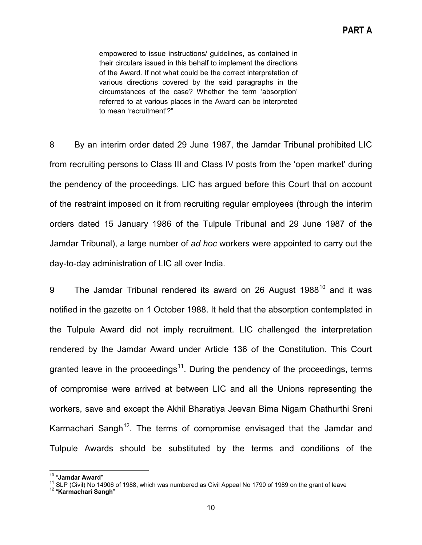empowered to issue instructions/ guidelines, as contained in their circulars issued in this behalf to implement the directions of the Award. If not what could be the correct interpretation of various directions covered by the said paragraphs in the circumstances of the case? Whether the term 'absorption' referred to at various places in the Award can be interpreted to mean 'recruitment'?"

8 By an interim order dated 29 June 1987, the Jamdar Tribunal prohibited LIC from recruiting persons to Class III and Class IV posts from the 'open market' during the pendency of the proceedings. LIC has argued before this Court that on account of the restraint imposed on it from recruiting regular employees (through the interim orders dated 15 January 1986 of the Tulpule Tribunal and 29 June 1987 of the Jamdar Tribunal), a large number of *ad hoc* workers were appointed to carry out the day-to-day administration of LIC all over India.

9 The Jamdar Tribunal rendered its award on 26 August 1988<sup>[10](#page-9-0)</sup> and it was notified in the gazette on 1 October 1988. It held that the absorption contemplated in the Tulpule Award did not imply recruitment. LIC challenged the interpretation rendered by the Jamdar Award under Article 136 of the Constitution. This Court granted leave in the proceedings<sup>11</sup>. During the pendency of the proceedings, terms of compromise were arrived at between LIC and all the Unions representing the workers, save and except the Akhil Bharatiya Jeevan Bima Nigam Chathurthi Sreni Karmachari Sangh<sup>[12](#page-9-2)</sup>. The terms of compromise envisaged that the Jamdar and Tulpule Awards should be substituted by the terms and conditions of the

<span id="page-9-2"></span><span id="page-9-1"></span><span id="page-9-0"></span><sup>&</sup>lt;sup>10</sup> "**Jamdar Award**"<br><sup>11</sup> SLP (Civil) No 14906 of 1988, which was numbered as Civil Appeal No 1790 of 1989 on the grant of leave<br><sup>12</sup> "**Karmachari Sangh**"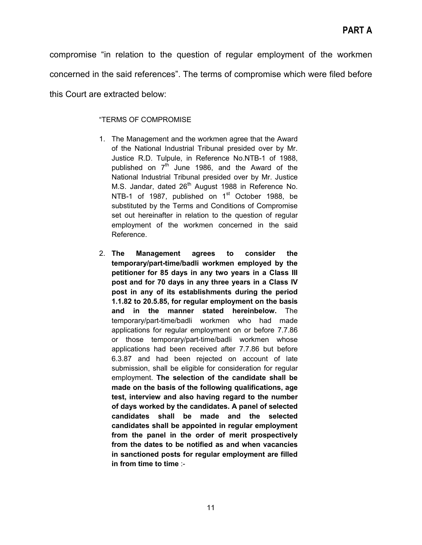compromise "in relation to the question of regular employment of the workmen concerned in the said references". The terms of compromise which were filed before this Court are extracted below:

#### "TERMS OF COMPROMISE

- 1. The Management and the workmen agree that the Award of the National Industrial Tribunal presided over by Mr. Justice R.D. Tulpule, in Reference No.NTB-1 of 1988, published on  $7<sup>th</sup>$  June 1986, and the Award of the National Industrial Tribunal presided over by Mr. Justice M.S. Jandar, dated  $26<sup>th</sup>$  August 1988 in Reference No. NTB-1 of 1987, published on 1<sup>st</sup> October 1988, be substituted by the Terms and Conditions of Compromise set out hereinafter in relation to the question of regular employment of the workmen concerned in the said Reference.
- 2. **The Management agrees to consider the temporary/part-time/badli workmen employed by the petitioner for 85 days in any two years in a Class III post and for 70 days in any three years in a Class IV post in any of its establishments during the period 1.1.82 to 20.5.85, for regular employment on the basis and in the manner stated hereinbelow.** The temporary/part-time/badli workmen who had made applications for regular employment on or before 7.7.86 or those temporary/part-time/badli workmen whose applications had been received after 7.7.86 but before 6.3.87 and had been rejected on account of late submission, shall be eligible for consideration for regular employment. **The selection of the candidate shall be made on the basis of the following qualifications, age test, interview and also having regard to the number of days worked by the candidates. A panel of selected candidates shall be made and the selected candidates shall be appointed in regular employment from the panel in the order of merit prospectively from the dates to be notified as and when vacancies in sanctioned posts for regular employment are filled in from time to time** :-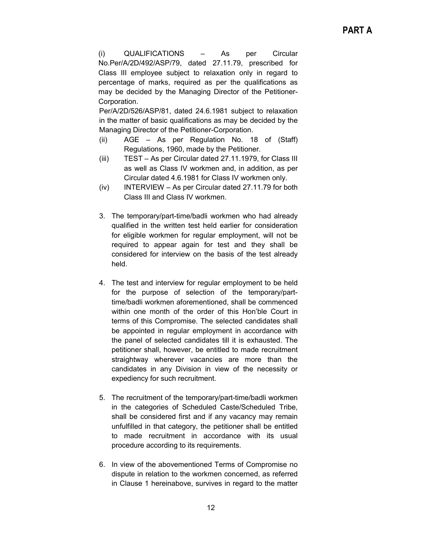(i) QUALIFICATIONS – As per Circular No.Per/A/2D/492/ASP/79, dated 27.11.79, prescribed for Class III employee subject to relaxation only in regard to percentage of marks, required as per the qualifications as may be decided by the Managing Director of the Petitioner-Corporation.

Per/A/2D/526/ASP/81, dated 24.6.1981 subject to relaxation in the matter of basic qualifications as may be decided by the Managing Director of the Petitioner-Corporation.

- (ii) AGE As per Regulation No. 18 of (Staff) Regulations, 1960, made by the Petitioner.
- (iii) TEST As per Circular dated 27.11.1979, for Class III as well as Class IV workmen and, in addition, as per Circular dated 4.6.1981 for Class IV workmen only.
- (iv) INTERVIEW As per Circular dated 27.11.79 for both Class III and Class IV workmen.
- 3. The temporary/part-time/badli workmen who had already qualified in the written test held earlier for consideration for eligible workmen for regular employment, will not be required to appear again for test and they shall be considered for interview on the basis of the test already held.
- 4. The test and interview for regular employment to be held for the purpose of selection of the temporary/parttime/badli workmen aforementioned, shall be commenced within one month of the order of this Hon'ble Court in terms of this Compromise. The selected candidates shall be appointed in regular employment in accordance with the panel of selected candidates till it is exhausted. The petitioner shall, however, be entitled to made recruitment straightway wherever vacancies are more than the candidates in any Division in view of the necessity or expediency for such recruitment.
- 5. The recruitment of the temporary/part-time/badli workmen in the categories of Scheduled Caste/Scheduled Tribe, shall be considered first and if any vacancy may remain unfulfilled in that category, the petitioner shall be entitled to made recruitment in accordance with its usual procedure according to its requirements.
- 6. In view of the abovementioned Terms of Compromise no dispute in relation to the workmen concerned, as referred in Clause 1 hereinabove, survives in regard to the matter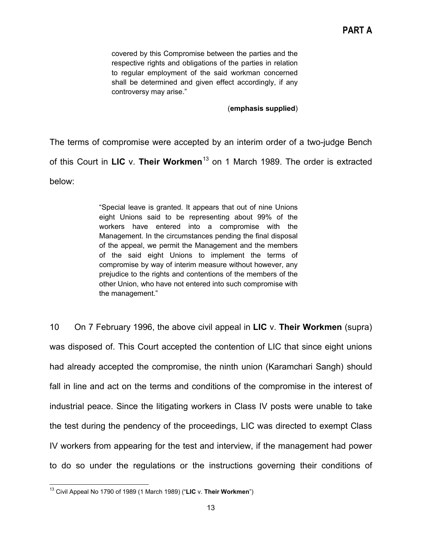covered by this Compromise between the parties and the respective rights and obligations of the parties in relation to regular employment of the said workman concerned shall be determined and given effect accordingly, if any controversy may arise."

#### (**emphasis supplied**)

The terms of compromise were accepted by an interim order of a two-judge Bench of this Court in **LIC** v. **Their Workmen**[13](#page-12-0) on 1 March 1989. The order is extracted below:

> "Special leave is granted. It appears that out of nine Unions eight Unions said to be representing about 99% of the workers have entered into a compromise with the Management. In the circumstances pending the final disposal of the appeal, we permit the Management and the members of the said eight Unions to implement the terms of compromise by way of interim measure without however, any prejudice to the rights and contentions of the members of the other Union, who have not entered into such compromise with the management."

10 On 7 February 1996, the above civil appeal in **LIC** v. **Their Workmen** (supra) was disposed of. This Court accepted the contention of LIC that since eight unions had already accepted the compromise, the ninth union (Karamchari Sangh) should fall in line and act on the terms and conditions of the compromise in the interest of industrial peace. Since the litigating workers in Class IV posts were unable to take the test during the pendency of the proceedings, LIC was directed to exempt Class IV workers from appearing for the test and interview, if the management had power to do so under the regulations or the instructions governing their conditions of

<span id="page-12-0"></span><sup>13</sup> Civil Appeal No 1790 of 1989 (1 March 1989) ("**LIC** v. **Their Workmen**")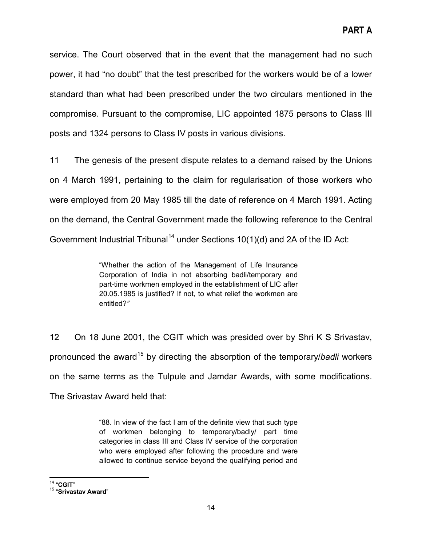service. The Court observed that in the event that the management had no such power, it had "no doubt" that the test prescribed for the workers would be of a lower standard than what had been prescribed under the two circulars mentioned in the compromise. Pursuant to the compromise, LIC appointed 1875 persons to Class III posts and 1324 persons to Class IV posts in various divisions.

11 The genesis of the present dispute relates to a demand raised by the Unions on 4 March 1991, pertaining to the claim for regularisation of those workers who were employed from 20 May 1985 till the date of reference on 4 March 1991. Acting on the demand, the Central Government made the following reference to the Central Government Industrial Tribunal<sup>[14](#page-13-0)</sup> under Sections  $10(1)(d)$  and 2A of the ID Act:

> "Whether the action of the Management of Life Insurance Corporation of India in not absorbing badli/temporary and part-time workmen employed in the establishment of LIC after 20.05.1985 is justified? If not, to what relief the workmen are entitled?*"*

12 On 18 June 2001, the CGIT which was presided over by Shri K S Srivastav, pronounced the award[15](#page-13-1) by directing the absorption of the temporary/*badli* workers on the same terms as the Tulpule and Jamdar Awards, with some modifications. The Srivastav Award held that:

> "88. In view of the fact I am of the definite view that such type of workmen belonging to temporary/badly/ part time categories in class III and Class IV service of the corporation who were employed after following the procedure and were allowed to continue service beyond the qualifying period and

<span id="page-13-1"></span><span id="page-13-0"></span><sup>14</sup> "**CGIT**" <sup>15</sup> "**Srivastav Award**"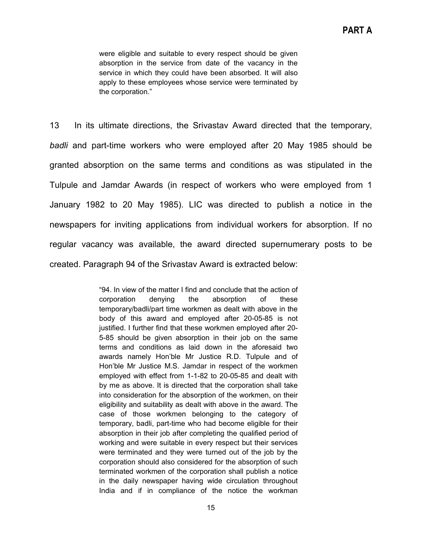were eligible and suitable to every respect should be given absorption in the service from date of the vacancy in the service in which they could have been absorbed. It will also apply to these employees whose service were terminated by the corporation."

13 In its ultimate directions, the Srivastav Award directed that the temporary, *badli* and part-time workers who were employed after 20 May 1985 should be granted absorption on the same terms and conditions as was stipulated in the Tulpule and Jamdar Awards (in respect of workers who were employed from 1 January 1982 to 20 May 1985). LIC was directed to publish a notice in the newspapers for inviting applications from individual workers for absorption. If no regular vacancy was available, the award directed supernumerary posts to be created. Paragraph 94 of the Srivastav Award is extracted below:

> "94. In view of the matter I find and conclude that the action of corporation denying the absorption of these temporary/badli/part time workmen as dealt with above in the body of this award and employed after 20-05-85 is not justified. I further find that these workmen employed after 20- 5-85 should be given absorption in their job on the same terms and conditions as laid down in the aforesaid two awards namely Hon'ble Mr Justice R.D. Tulpule and of Hon'ble Mr Justice M.S. Jamdar in respect of the workmen employed with effect from 1-1-82 to 20-05-85 and dealt with by me as above. It is directed that the corporation shall take into consideration for the absorption of the workmen, on their eligibility and suitability as dealt with above in the award. The case of those workmen belonging to the category of temporary, badli, part-time who had become eligible for their absorption in their job after completing the qualified period of working and were suitable in every respect but their services were terminated and they were turned out of the job by the corporation should also considered for the absorption of such terminated workmen of the corporation shall publish a notice in the daily newspaper having wide circulation throughout India and if in compliance of the notice the workman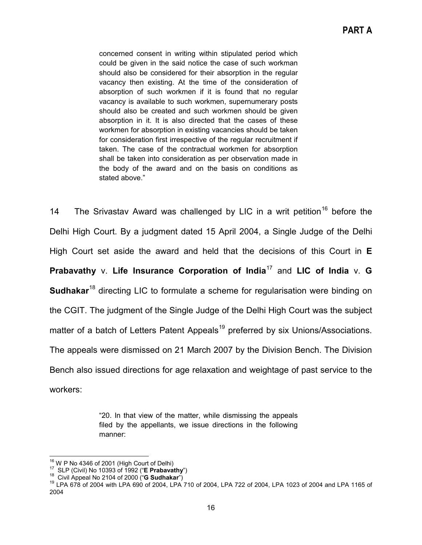concerned consent in writing within stipulated period which could be given in the said notice the case of such workman should also be considered for their absorption in the regular vacancy then existing. At the time of the consideration of absorption of such workmen if it is found that no regular vacancy is available to such workmen, supernumerary posts should also be created and such workmen should be given absorption in it. It is also directed that the cases of these workmen for absorption in existing vacancies should be taken for consideration first irrespective of the regular recruitment if taken. The case of the contractual workmen for absorption shall be taken into consideration as per observation made in the body of the award and on the basis on conditions as stated above."

14 The Srivastav Award was challenged by LIC in a writ petition<sup>[16](#page-15-0)</sup> before the Delhi High Court. By a judgment dated 15 April 2004, a Single Judge of the Delhi High Court set aside the award and held that the decisions of this Court in **E Prabavathy** v. Life Insurance Corporation of India<sup>[17](#page-15-1)</sup> and LIC of India v. G **Sudhakar**[18](#page-15-2) directing LIC to formulate a scheme for regularisation were binding on the CGIT. The judgment of the Single Judge of the Delhi High Court was the subject matter of a batch of Letters Patent Appeals<sup>[19](#page-15-3)</sup> preferred by six Unions/Associations. The appeals were dismissed on 21 March 2007 by the Division Bench. The Division Bench also issued directions for age relaxation and weightage of past service to the workers:

> "20. In that view of the matter, while dismissing the appeals filed by the appellants, we issue directions in the following manner:

<span id="page-15-3"></span><span id="page-15-2"></span>

<span id="page-15-1"></span><span id="page-15-0"></span><sup>&</sup>lt;sup>16</sup> W P No 4346 of 2001 (High Court of Delhi)<br><sup>17</sup> SLP (Civil) No 10393 of 1992 ("**E Prabavathy**")<br><sup>18</sup> Civil Appeal No 2104 of 2000 ("**G Sudhakar**")<br><sup>19</sup> LPA 678 of 2004 with LPA 690 of 2004, LPA 710 of 2004, LPA 722 of 2004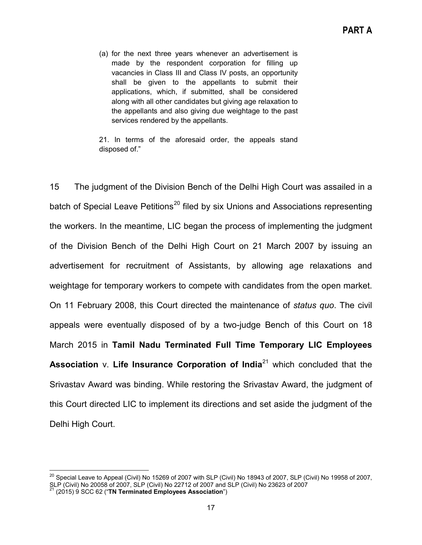(a) for the next three years whenever an advertisement is made by the respondent corporation for filling up vacancies in Class III and Class IV posts, an opportunity shall be given to the appellants to submit their applications, which, if submitted, shall be considered along with all other candidates but giving age relaxation to the appellants and also giving due weightage to the past services rendered by the appellants.

21. In terms of the aforesaid order, the appeals stand disposed of."

15 The judgment of the Division Bench of the Delhi High Court was assailed in a batch of Special Leave Petitions<sup>[20](#page-16-0)</sup> filed by six Unions and Associations representing the workers. In the meantime, LIC began the process of implementing the judgment of the Division Bench of the Delhi High Court on 21 March 2007 by issuing an advertisement for recruitment of Assistants, by allowing age relaxations and weightage for temporary workers to compete with candidates from the open market. On 11 February 2008, this Court directed the maintenance of *status quo*. The civil appeals were eventually disposed of by a two-judge Bench of this Court on 18 March 2015 in **Tamil Nadu Terminated Full Time Temporary LIC Employees Association** v. **Life Insurance Corporation of India**[21](#page-16-1) which concluded that the Srivastav Award was binding. While restoring the Srivastav Award, the judgment of this Court directed LIC to implement its directions and set aside the judgment of the Delhi High Court.

<span id="page-16-0"></span> $^{20}$  Special Leave to Appeal (Civil) No 15269 of 2007 with SLP (Civil) No 18943 of 2007, SLP (Civil) No 19958 of 2007, SLP (Civil) No 20058 of 2007, SLP (Civil) No 22712 of 2007 and SLP (Civil) No 23623 of 2007 21 (2015) 9 SCC 62 ("**TN Terminated Employees Association**")

<span id="page-16-1"></span>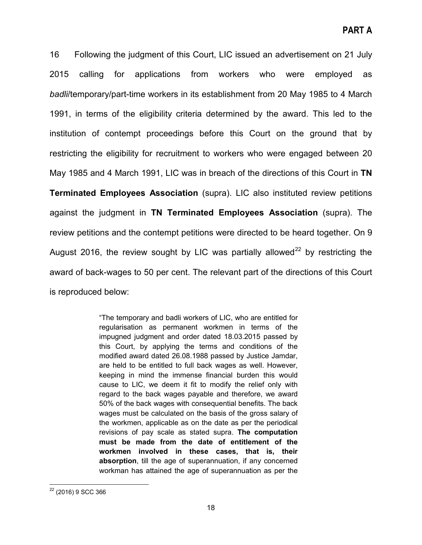16 Following the judgment of this Court, LIC issued an advertisement on 21 July 2015 calling for applications from workers who were employed as *badli*/temporary/part-time workers in its establishment from 20 May 1985 to 4 March 1991, in terms of the eligibility criteria determined by the award. This led to the institution of contempt proceedings before this Court on the ground that by restricting the eligibility for recruitment to workers who were engaged between 20 May 1985 and 4 March 1991, LIC was in breach of the directions of this Court in **TN Terminated Employees Association** (supra). LIC also instituted review petitions against the judgment in **TN Terminated Employees Association** (supra). The review petitions and the contempt petitions were directed to be heard together. On 9 August 2016, the review sought by LIC was partially allowed<sup>[22](#page-17-0)</sup> by restricting the award of back-wages to 50 per cent. The relevant part of the directions of this Court is reproduced below:

> "The temporary and badli workers of LIC, who are entitled for regularisation as permanent workmen in terms of the impugned judgment and order dated 18.03.2015 passed by this Court, by applying the terms and conditions of the modified award dated 26.08.1988 passed by Justice Jamdar, are held to be entitled to full back wages as well. However, keeping in mind the immense financial burden this would cause to LIC, we deem it fit to modify the relief only with regard to the back wages payable and therefore, we award 50% of the back wages with consequential benefits. The back wages must be calculated on the basis of the gross salary of the workmen, applicable as on the date as per the periodical revisions of pay scale as stated supra. **The computation must be made from the date of entitlement of the workmen involved in these cases, that is, their absorption**, till the age of superannuation, if any concerned workman has attained the age of superannuation as per the

<span id="page-17-0"></span><sup>22</sup> (2016) 9 SCC 366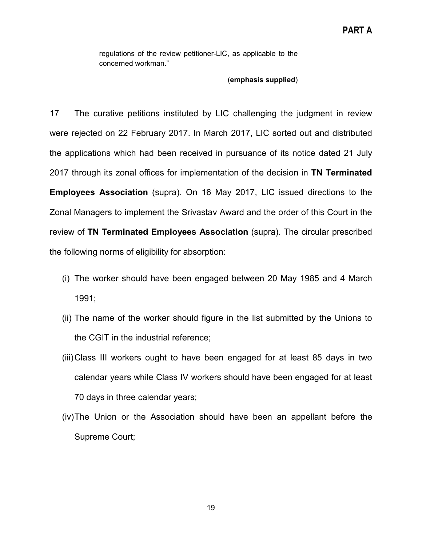regulations of the review petitioner-LIC, as applicable to the concerned workman."

#### (**emphasis supplied**)

17 The curative petitions instituted by LIC challenging the judgment in review were rejected on 22 February 2017. In March 2017, LIC sorted out and distributed the applications which had been received in pursuance of its notice dated 21 July 2017 through its zonal offices for implementation of the decision in **TN Terminated Employees Association** (supra). On 16 May 2017, LIC issued directions to the Zonal Managers to implement the Srivastav Award and the order of this Court in the review of **TN Terminated Employees Association** (supra). The circular prescribed the following norms of eligibility for absorption:

- (i) The worker should have been engaged between 20 May 1985 and 4 March 1991;
- (ii) The name of the worker should figure in the list submitted by the Unions to the CGIT in the industrial reference;
- (iii)Class III workers ought to have been engaged for at least 85 days in two calendar years while Class IV workers should have been engaged for at least 70 days in three calendar years;
- (iv)The Union or the Association should have been an appellant before the Supreme Court;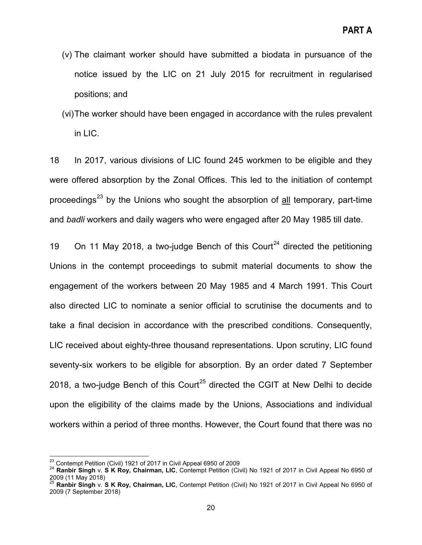- (v) The claimant worker should have submitted a biodata in pursuance of the notice issued by the LIC on 21 July 2015 for recruitment in regularised positions; and
- (vi)The worker should have been engaged in accordance with the rules prevalent in LIC.

18 In 2017, various divisions of LIC found 245 workmen to be eligible and they were offered absorption by the Zonal Offices. This led to the initiation of contempt proceedings<sup>[23](#page-19-0)</sup> by the Unions who sought the absorption of  $all$  temporary, part-time and *badli* workers and daily wagers who were engaged after 20 May 1985 till date.

19 On 11 May 2018, a two-judge Bench of this Court<sup>[24](#page-19-1)</sup> directed the petitioning Unions in the contempt proceedings to submit material documents to show the engagement of the workers between 20 May 1985 and 4 March 1991. This Court also directed LIC to nominate a senior official to scrutinise the documents and to take a final decision in accordance with the prescribed conditions. Consequently, LIC received about eighty-three thousand representations. Upon scrutiny, LIC found seventy-six workers to be eligible for absorption. By an order dated 7 September 2018, a two-judge Bench of this Court<sup>[25](#page-19-2)</sup> directed the CGIT at New Delhi to decide upon the eligibility of the claims made by the Unions, Associations and individual workers within a period of three months. However, the Court found that there was no

<span id="page-19-1"></span><span id="page-19-0"></span><sup>&</sup>lt;sup>23</sup> Contempt Petition (Civil) 1921 of 2017 in Civil Appeal 6950 of 2009<br><sup>24</sup> **Ranbir Singh** v. **S K Roy, Chairman, LIC**, Contempt Petition (Civil) No 1921 of 2017 in Civil Appeal No 6950 of<br>2009 (11 May 2018)

<span id="page-19-2"></span>Ranbir Singh v. S K Roy, Chairman, LIC, Contempt Petition (Civil) No 1921 of 2017 in Civil Appeal No 6950 of 2009 (7 September 2018)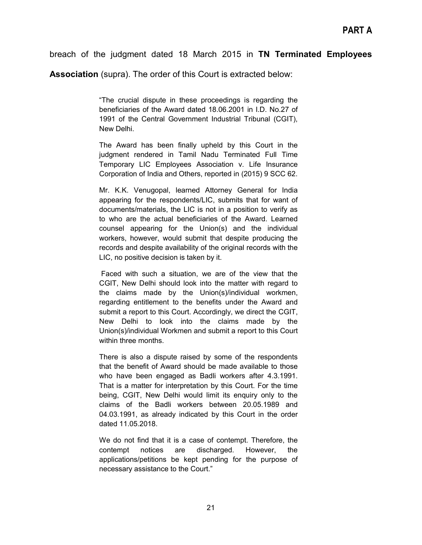## breach of the judgment dated 18 March 2015 in **TN Terminated Employees**

**Association** (supra). The order of this Court is extracted below:

"The crucial dispute in these proceedings is regarding the beneficiaries of the Award dated 18.06.2001 in I.D. No.27 of 1991 of the Central Government Industrial Tribunal (CGIT), New Delhi.

The Award has been finally upheld by this Court in the judgment rendered in Tamil Nadu Terminated Full Time Temporary LIC Employees Association v. Life Insurance Corporation of India and Others, reported in (2015) 9 SCC 62.

Mr. K.K. Venugopal, learned Attorney General for India appearing for the respondents/LIC, submits that for want of documents/materials, the LIC is not in a position to verify as to who are the actual beneficiaries of the Award. Learned counsel appearing for the Union(s) and the individual workers, however, would submit that despite producing the records and despite availability of the original records with the LIC, no positive decision is taken by it.

Faced with such a situation, we are of the view that the CGIT, New Delhi should look into the matter with regard to the claims made by the Union(s)/individual workmen, regarding entitlement to the benefits under the Award and submit a report to this Court. Accordingly, we direct the CGIT, New Delhi to look into the claims made by the Union(s)/individual Workmen and submit a report to this Court within three months.

There is also a dispute raised by some of the respondents that the benefit of Award should be made available to those who have been engaged as Badli workers after 4.3.1991. That is a matter for interpretation by this Court. For the time being, CGIT, New Delhi would limit its enquiry only to the claims of the Badli workers between 20.05.1989 and 04.03.1991, as already indicated by this Court in the order dated 11.05.2018.

We do not find that it is a case of contempt. Therefore, the contempt notices are discharged. However, the applications/petitions be kept pending for the purpose of necessary assistance to the Court."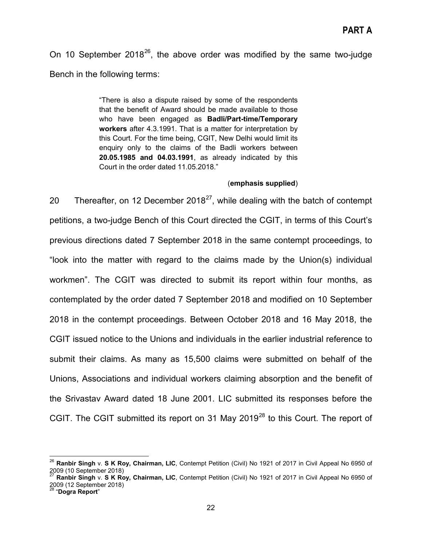On 10 September  $2018^{26}$ , the above order was modified by the same two-judge Bench in the following terms:

> "There is also a dispute raised by some of the respondents that the benefit of Award should be made available to those who have been engaged as **Badli/Part-time/Temporary workers** after 4.3.1991. That is a matter for interpretation by this Court. For the time being, CGIT, New Delhi would limit its enquiry only to the claims of the Badli workers between **20.05.1985 and 04.03.1991**, as already indicated by this Court in the order dated 11.05.2018."

#### (**emphasis supplied**)

20 Thereafter, on 12 December 2018<sup>27</sup>, while dealing with the batch of contempt petitions, a two-judge Bench of this Court directed the CGIT, in terms of this Court's previous directions dated 7 September 2018 in the same contempt proceedings, to "look into the matter with regard to the claims made by the Union(s) individual workmen". The CGIT was directed to submit its report within four months, as contemplated by the order dated 7 September 2018 and modified on 10 September 2018 in the contempt proceedings. Between October 2018 and 16 May 2018, the CGIT issued notice to the Unions and individuals in the earlier industrial reference to submit their claims. As many as 15,500 claims were submitted on behalf of the Unions, Associations and individual workers claiming absorption and the benefit of the Srivastav Award dated 18 June 2001. LIC submitted its responses before the CGIT. The CGIT submitted its report on 31 May 2019<sup>[28](#page-21-2)</sup> to this Court. The report of

<span id="page-21-0"></span><sup>&</sup>lt;sup>26</sup> **Ranbir Singh** v. **S K Roy, Chairman, LIC**, Contempt Petition (Civil) No 1921 of 2017 in Civil Appeal No 6950 of<br>2009 (10 September 2018)<br><sup>27</sup> Papkin Singh v. **S K Roy, Chairman, LIC**, Contempt Petition (Civil) No 192

<span id="page-21-1"></span><sup>2009 (10</sup> September 2018) <sup>27</sup> **Ranbir Singh** v. **S K Roy, Chairman, LIC**, Contempt Petition (Civil) No 1921 of 2017 in Civil Appeal No 6950 of 2009 (12 September 2018) <sup>28</sup> "**Dogra Report**"

<span id="page-21-2"></span>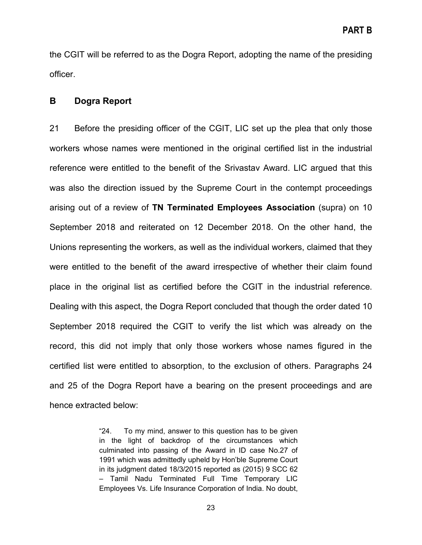the CGIT will be referred to as the Dogra Report, adopting the name of the presiding officer.

## <span id="page-22-0"></span>**B Dogra Report**

21 Before the presiding officer of the CGIT, LIC set up the plea that only those workers whose names were mentioned in the original certified list in the industrial reference were entitled to the benefit of the Srivastav Award. LIC argued that this was also the direction issued by the Supreme Court in the contempt proceedings arising out of a review of **TN Terminated Employees Association** (supra) on 10 September 2018 and reiterated on 12 December 2018. On the other hand, the Unions representing the workers, as well as the individual workers, claimed that they were entitled to the benefit of the award irrespective of whether their claim found place in the original list as certified before the CGIT in the industrial reference. Dealing with this aspect, the Dogra Report concluded that though the order dated 10 September 2018 required the CGIT to verify the list which was already on the record, this did not imply that only those workers whose names figured in the certified list were entitled to absorption, to the exclusion of others. Paragraphs 24 and 25 of the Dogra Report have a bearing on the present proceedings and are hence extracted below:

> "24. To my mind, answer to this question has to be given in the light of backdrop of the circumstances which culminated into passing of the Award in ID case No.27 of 1991 which was admittedly upheld by Hon'ble Supreme Court in its judgment dated 18/3/2015 reported as (2015) 9 SCC 62 – Tamil Nadu Terminated Full Time Temporary LIC Employees Vs. Life Insurance Corporation of India. No doubt,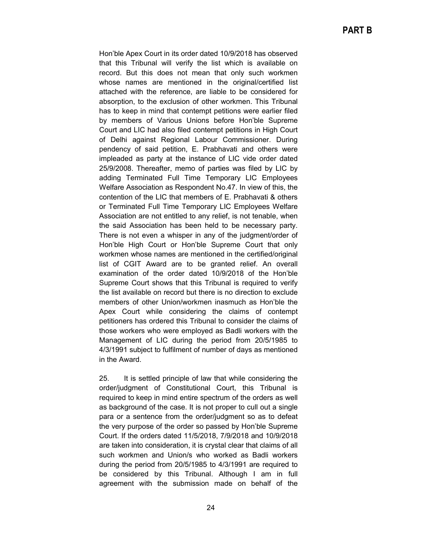Hon'ble Apex Court in its order dated 10/9/2018 has observed that this Tribunal will verify the list which is available on record. But this does not mean that only such workmen whose names are mentioned in the original/certified list attached with the reference, are liable to be considered for absorption, to the exclusion of other workmen. This Tribunal has to keep in mind that contempt petitions were earlier filed by members of Various Unions before Hon'ble Supreme Court and LIC had also filed contempt petitions in High Court of Delhi against Regional Labour Commissioner. During pendency of said petition, E. Prabhavati and others were impleaded as party at the instance of LIC vide order dated 25/9/2008. Thereafter, memo of parties was filed by LIC by adding Terminated Full Time Temporary LIC Employees Welfare Association as Respondent No.47. In view of this, the contention of the LIC that members of E. Prabhavati & others or Terminated Full Time Temporary LIC Employees Welfare Association are not entitled to any relief, is not tenable, when the said Association has been held to be necessary party. There is not even a whisper in any of the judgment/order of Hon'ble High Court or Hon'ble Supreme Court that only workmen whose names are mentioned in the certified/original list of CGIT Award are to be granted relief. An overall examination of the order dated 10/9/2018 of the Hon'ble Supreme Court shows that this Tribunal is required to verify the list available on record but there is no direction to exclude members of other Union/workmen inasmuch as Hon'ble the Apex Court while considering the claims of contempt petitioners has ordered this Tribunal to consider the claims of those workers who were employed as Badli workers with the Management of LIC during the period from 20/5/1985 to 4/3/1991 subject to fulfilment of number of days as mentioned in the Award.

25. It is settled principle of law that while considering the order/judgment of Constitutional Court, this Tribunal is required to keep in mind entire spectrum of the orders as well as background of the case. It is not proper to cull out a single para or a sentence from the order/judgment so as to defeat the very purpose of the order so passed by Hon'ble Supreme Court. If the orders dated 11/5/2018, 7/9/2018 and 10/9/2018 are taken into consideration, it is crystal clear that claims of all such workmen and Union/s who worked as Badli workers during the period from 20/5/1985 to 4/3/1991 are required to be considered by this Tribunal. Although I am in full agreement with the submission made on behalf of the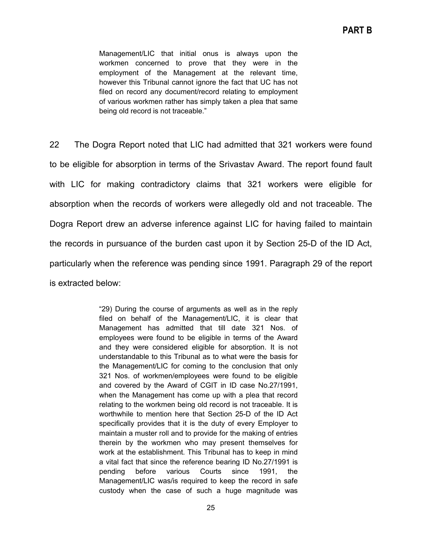Management/LIC that initial onus is always upon the workmen concerned to prove that they were in the employment of the Management at the relevant time, however this Tribunal cannot ignore the fact that UC has not filed on record any document/record relating to employment of various workmen rather has simply taken a plea that same being old record is not traceable."

22 The Dogra Report noted that LIC had admitted that 321 workers were found to be eligible for absorption in terms of the Srivastav Award. The report found fault with LIC for making contradictory claims that 321 workers were eligible for absorption when the records of workers were allegedly old and not traceable. The Dogra Report drew an adverse inference against LIC for having failed to maintain the records in pursuance of the burden cast upon it by Section 25-D of the ID Act, particularly when the reference was pending since 1991. Paragraph 29 of the report is extracted below:

> "29) During the course of arguments as well as in the reply filed on behalf of the Management/LIC, it is clear that Management has admitted that till date 321 Nos. of employees were found to be eligible in terms of the Award and they were considered eligible for absorption. It is not understandable to this Tribunal as to what were the basis for the Management/LIC for coming to the conclusion that only 321 Nos. of workmen/employees were found to be eligible and covered by the Award of CGIT in ID case No.27/1991, when the Management has come up with a plea that record relating to the workmen being old record is not traceable. It is worthwhile to mention here that Section 25-D of the ID Act specifically provides that it is the duty of every Employer to maintain a muster roll and to provide for the making of entries therein by the workmen who may present themselves for work at the establishment. This Tribunal has to keep in mind a vital fact that since the reference bearing ID No.27/1991 is pending before various Courts since 1991, the Management/LIC was/is required to keep the record in safe custody when the case of such a huge magnitude was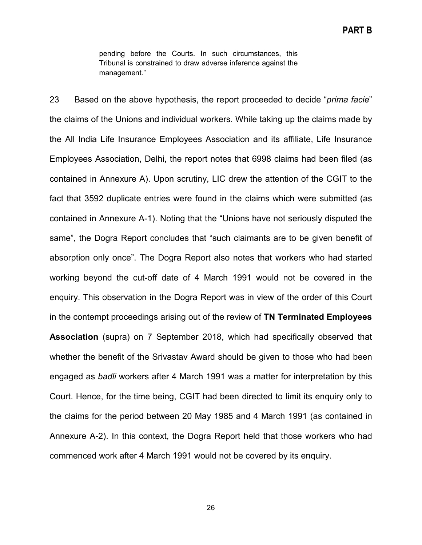pending before the Courts. In such circumstances, this Tribunal is constrained to draw adverse inference against the management."

23 Based on the above hypothesis, the report proceeded to decide "*prima facie*" the claims of the Unions and individual workers. While taking up the claims made by the All India Life Insurance Employees Association and its affiliate, Life Insurance Employees Association, Delhi, the report notes that 6998 claims had been filed (as contained in Annexure A). Upon scrutiny, LIC drew the attention of the CGIT to the fact that 3592 duplicate entries were found in the claims which were submitted (as contained in Annexure A-1). Noting that the "Unions have not seriously disputed the same", the Dogra Report concludes that "such claimants are to be given benefit of absorption only once". The Dogra Report also notes that workers who had started working beyond the cut-off date of 4 March 1991 would not be covered in the enquiry. This observation in the Dogra Report was in view of the order of this Court in the contempt proceedings arising out of the review of **TN Terminated Employees Association** (supra) on 7 September 2018, which had specifically observed that whether the benefit of the Srivastav Award should be given to those who had been engaged as *badli* workers after 4 March 1991 was a matter for interpretation by this Court. Hence, for the time being, CGIT had been directed to limit its enquiry only to the claims for the period between 20 May 1985 and 4 March 1991 (as contained in Annexure A-2). In this context, the Dogra Report held that those workers who had commenced work after 4 March 1991 would not be covered by its enquiry.

26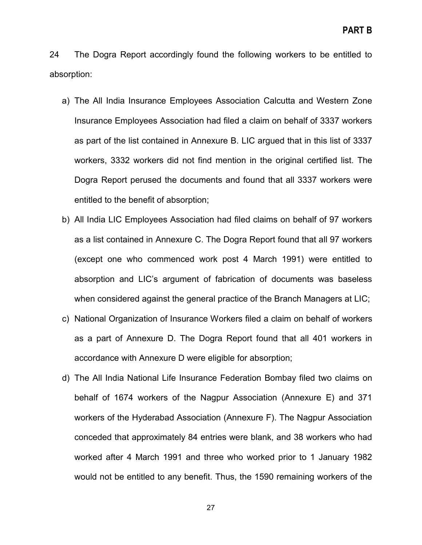24 The Dogra Report accordingly found the following workers to be entitled to absorption:

- a) The All India Insurance Employees Association Calcutta and Western Zone Insurance Employees Association had filed a claim on behalf of 3337 workers as part of the list contained in Annexure B. LIC argued that in this list of 3337 workers, 3332 workers did not find mention in the original certified list. The Dogra Report perused the documents and found that all 3337 workers were entitled to the benefit of absorption;
- b) All India LIC Employees Association had filed claims on behalf of 97 workers as a list contained in Annexure C. The Dogra Report found that all 97 workers (except one who commenced work post 4 March 1991) were entitled to absorption and LIC's argument of fabrication of documents was baseless when considered against the general practice of the Branch Managers at LIC;
- c) National Organization of Insurance Workers filed a claim on behalf of workers as a part of Annexure D. The Dogra Report found that all 401 workers in accordance with Annexure D were eligible for absorption;
- d) The All India National Life Insurance Federation Bombay filed two claims on behalf of 1674 workers of the Nagpur Association (Annexure E) and 371 workers of the Hyderabad Association (Annexure F). The Nagpur Association conceded that approximately 84 entries were blank, and 38 workers who had worked after 4 March 1991 and three who worked prior to 1 January 1982 would not be entitled to any benefit. Thus, the 1590 remaining workers of the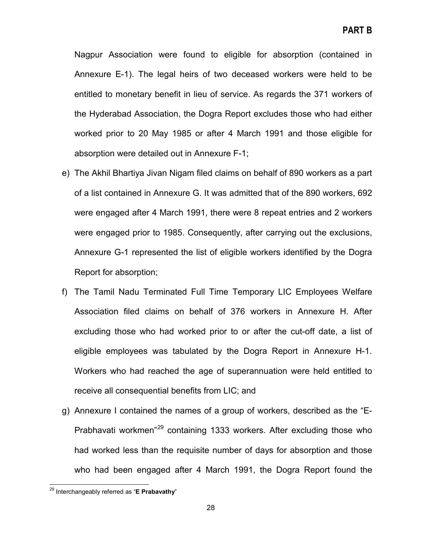Nagpur Association were found to eligible for absorption (contained in Annexure E-1). The legal heirs of two deceased workers were held to be entitled to monetary benefit in lieu of service. As regards the 371 workers of the Hyderabad Association, the Dogra Report excludes those who had either worked prior to 20 May 1985 or after 4 March 1991 and those eligible for absorption were detailed out in Annexure F-1;

- e) The Akhil Bhartiya Jivan Nigam filed claims on behalf of 890 workers as a part of a list contained in Annexure G. It was admitted that of the 890 workers, 692 were engaged after 4 March 1991, there were 8 repeat entries and 2 workers were engaged prior to 1985. Consequently, after carrying out the exclusions, Annexure G-1 represented the list of eligible workers identified by the Dogra Report for absorption;
- f) The Tamil Nadu Terminated Full Time Temporary LIC Employees Welfare Association filed claims on behalf of 376 workers in Annexure H. After excluding those who had worked prior to or after the cut-off date, a list of eligible employees was tabulated by the Dogra Report in Annexure H-1. Workers who had reached the age of superannuation were held entitled to receive all consequential benefits from LIC; and
- g) Annexure I contained the names of a group of workers, described as the "E-Prabhavati workmen<sup>"[29](#page-27-0)</sup> containing 1333 workers. After excluding those who had worked less than the requisite number of days for absorption and those who had been engaged after 4 March 1991, the Dogra Report found the

<span id="page-27-0"></span><sup>29</sup> Interchangeably referred as "**<sup>E</sup> Prabavathy**"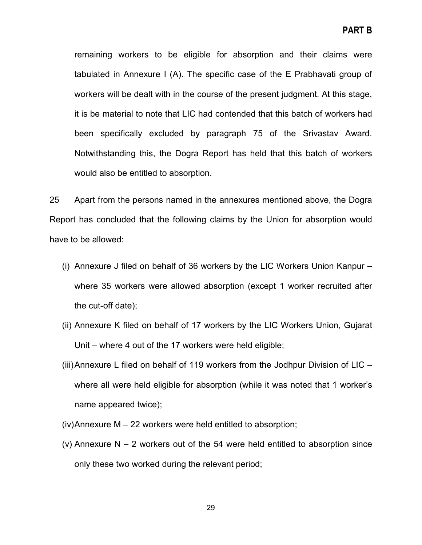remaining workers to be eligible for absorption and their claims were tabulated in Annexure I (A). The specific case of the E Prabhavati group of workers will be dealt with in the course of the present judgment. At this stage, it is be material to note that LIC had contended that this batch of workers had been specifically excluded by paragraph 75 of the Srivastav Award. Notwithstanding this, the Dogra Report has held that this batch of workers would also be entitled to absorption.

25 Apart from the persons named in the annexures mentioned above, the Dogra Report has concluded that the following claims by the Union for absorption would have to be allowed:

- (i) Annexure J filed on behalf of 36 workers by the LIC Workers Union Kanpur where 35 workers were allowed absorption (except 1 worker recruited after the cut-off date);
- (ii) Annexure K filed on behalf of 17 workers by the LIC Workers Union, Gujarat Unit – where 4 out of the 17 workers were held eligible;
- (iii)Annexure L filed on behalf of 119 workers from the Jodhpur Division of LIC where all were held eligible for absorption (while it was noted that 1 worker's name appeared twice);
- (iv)Annexure M 22 workers were held entitled to absorption;
- (v) Annexure  $N 2$  workers out of the 54 were held entitled to absorption since only these two worked during the relevant period;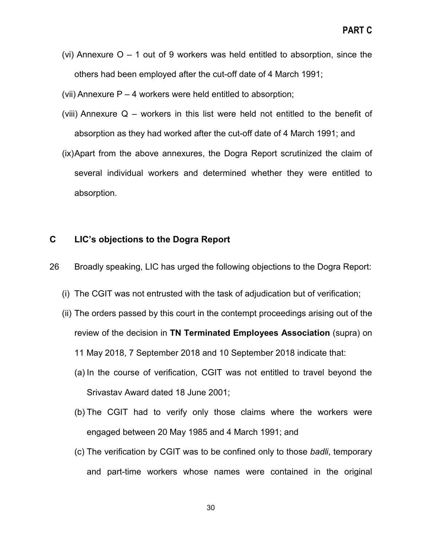- (vi) Annexure  $O 1$  out of 9 workers was held entitled to absorption, since the others had been employed after the cut-off date of 4 March 1991;
- (vii) Annexure  $P 4$  workers were held entitled to absorption;
- (viii) Annexure Q workers in this list were held not entitled to the benefit of absorption as they had worked after the cut-off date of 4 March 1991; and
- (ix)Apart from the above annexures, the Dogra Report scrutinized the claim of several individual workers and determined whether they were entitled to absorption.

# <span id="page-29-0"></span>**C LIC's objections to the Dogra Report**

- 26 Broadly speaking, LIC has urged the following objections to the Dogra Report:
	- (i) The CGIT was not entrusted with the task of adjudication but of verification;
	- (ii) The orders passed by this court in the contempt proceedings arising out of the review of the decision in **TN Terminated Employees Association** (supra) on 11 May 2018, 7 September 2018 and 10 September 2018 indicate that:
		- (a) In the course of verification, CGIT was not entitled to travel beyond the Srivastav Award dated 18 June 2001;
		- (b) The CGIT had to verify only those claims where the workers were engaged between 20 May 1985 and 4 March 1991; and
		- (c) The verification by CGIT was to be confined only to those *badli*, temporary and part-time workers whose names were contained in the original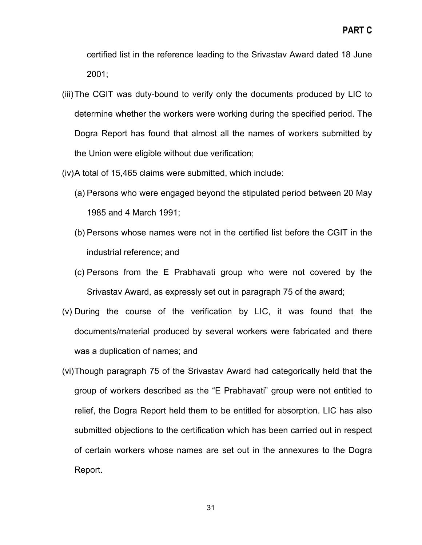certified list in the reference leading to the Srivastav Award dated 18 June 2001;

- (iii)The CGIT was duty-bound to verify only the documents produced by LIC to determine whether the workers were working during the specified period. The Dogra Report has found that almost all the names of workers submitted by the Union were eligible without due verification;
- (iv)A total of 15,465 claims were submitted, which include:
	- (a) Persons who were engaged beyond the stipulated period between 20 May 1985 and 4 March 1991;
	- (b) Persons whose names were not in the certified list before the CGIT in the industrial reference; and
	- (c) Persons from the E Prabhavati group who were not covered by the Srivastav Award, as expressly set out in paragraph 75 of the award;
- (v) During the course of the verification by LIC, it was found that the documents/material produced by several workers were fabricated and there was a duplication of names; and
- (vi)Though paragraph 75 of the Srivastav Award had categorically held that the group of workers described as the "E Prabhavati" group were not entitled to relief, the Dogra Report held them to be entitled for absorption. LIC has also submitted objections to the certification which has been carried out in respect of certain workers whose names are set out in the annexures to the Dogra Report.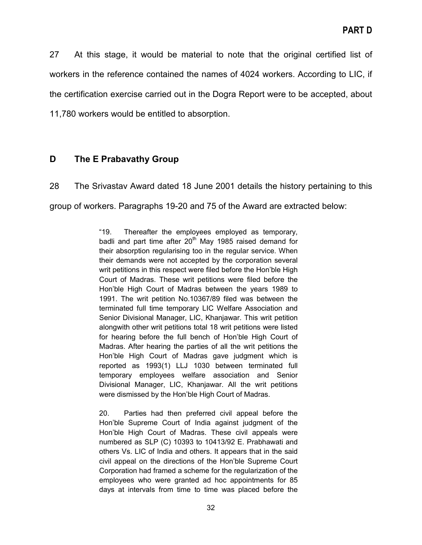27 At this stage, it would be material to note that the original certified list of workers in the reference contained the names of 4024 workers. According to LIC, if the certification exercise carried out in the Dogra Report were to be accepted, about 11,780 workers would be entitled to absorption.

# <span id="page-31-0"></span>**D The E Prabavathy Group**

28 The Srivastav Award dated 18 June 2001 details the history pertaining to this group of workers. Paragraphs 19-20 and 75 of the Award are extracted below:

> "19. Thereafter the employees employed as temporary, badli and part time after  $20<sup>th</sup>$  May 1985 raised demand for their absorption regularising too in the regular service. When their demands were not accepted by the corporation several writ petitions in this respect were filed before the Hon'ble High Court of Madras. These writ petitions were filed before the Hon'ble High Court of Madras between the years 1989 to 1991. The writ petition No.10367/89 filed was between the terminated full time temporary LIC Welfare Association and Senior Divisional Manager, LIC, Khanjawar. This writ petition alongwith other writ petitions total 18 writ petitions were listed for hearing before the full bench of Hon'ble High Court of Madras. After hearing the parties of all the writ petitions the Hon'ble High Court of Madras gave judgment which is reported as 1993(1) LLJ 1030 between terminated full temporary employees welfare association and Senior Divisional Manager, LIC, Khanjawar. All the writ petitions were dismissed by the Hon'ble High Court of Madras.

> 20. Parties had then preferred civil appeal before the Hon'ble Supreme Court of India against judgment of the Hon'ble High Court of Madras. These civil appeals were numbered as SLP (C) 10393 to 10413/92 E. Prabhawati and others Vs. LIC of India and others. It appears that in the said civil appeal on the directions of the Hon'ble Supreme Court Corporation had framed a scheme for the regularization of the employees who were granted ad hoc appointments for 85 days at intervals from time to time was placed before the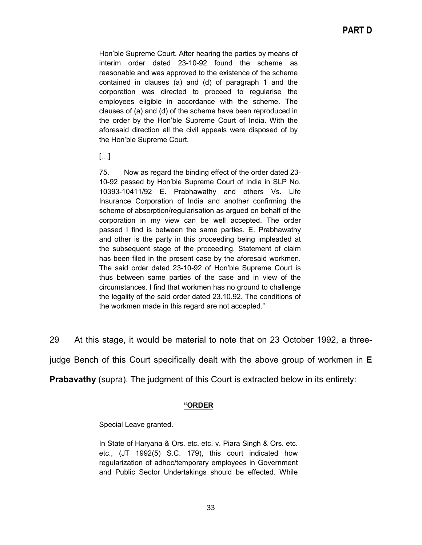Hon'ble Supreme Court. After hearing the parties by means of interim order dated 23-10-92 found the scheme as reasonable and was approved to the existence of the scheme contained in clauses (a) and (d) of paragraph 1 and the corporation was directed to proceed to regularise the employees eligible in accordance with the scheme. The clauses of (a) and (d) of the scheme have been reproduced in the order by the Hon'ble Supreme Court of India. With the aforesaid direction all the civil appeals were disposed of by the Hon'ble Supreme Court.

#### $[...]$

75. Now as regard the binding effect of the order dated 23- 10-92 passed by Hon'ble Supreme Court of India in SLP No. 10393-10411/92 E. Prabhawathy and others Vs. Life Insurance Corporation of India and another confirming the scheme of absorption/regularisation as argued on behalf of the corporation in my view can be well accepted. The order passed I find is between the same parties. E. Prabhawathy and other is the party in this proceeding being impleaded at the subsequent stage of the proceeding. Statement of claim has been filed in the present case by the aforesaid workmen. The said order dated 23-10-92 of Hon'ble Supreme Court is thus between same parties of the case and in view of the circumstances. I find that workmen has no ground to challenge the legality of the said order dated 23.10.92. The conditions of the workmen made in this regard are not accepted."

29 At this stage, it would be material to note that on 23 October 1992, a three-

judge Bench of this Court specifically dealt with the above group of workmen in **E**

**Prabavathy** (supra). The judgment of this Court is extracted below in its entirety:

#### **"ORDER**

Special Leave granted.

In State of Haryana & Ors. etc. etc. v. Piara Singh & Ors. etc. etc., (JT 1992(5) S.C. 179), this court indicated how regularization of adhoc/temporary employees in Government and Public Sector Undertakings should be effected. While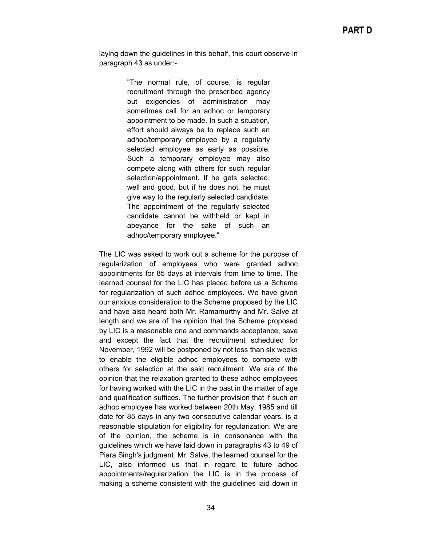laying down the guidelines in this behalf, this court observe in paragraph 43 as under:-

> "The normal rule, of course, is regular recruitment through the prescribed agency but exigencies of administration may sometimes call for an adhoc or temporary appointment to be made. In such a situation, effort should always be to replace such an adhoc/temporary employee by a regularly selected employee as early as possible. Such a temporary employee may also compete along with others for such regular selection/appointment. If he gets selected, well and good, but if he does not, he must give way to the regularly selected candidate. The appointment of the regularly selected candidate cannot be withheld or kept in abeyance for the sake of such an adhoc/temporary employee."

The LIC was asked to work out a scheme for the purpose of regularization of employees who were granted adhoc appointments for 85 days at intervals from time to time. The learned counsel for the LIC has placed before us a Scheme for regularization of such adhoc employees. We have given our anxious consideration to the Scheme proposed by the LIC and have also heard both Mr. Ramamurthy and Mr. Salve at length and we are of the opinion that the Scheme proposed by LIC is a reasonable one and commands acceptance, save and except the fact that the recruitment scheduled for November, 1992 will be postponed by not less than six weeks to enable the eligible adhoc employees to compete with others for selection at the said recruitment. We are of the opinion that the relaxation granted to these adhoc employees for having worked with the LIC in the past in the matter of age and qualification suffices. The further provision that if such an adhoc employee has worked between 20th May, 1985 and till date for 85 days in any two consecutive calendar years, is a reasonable stipulation for eligibility for regularization. We are of the opinion, the scheme is in consonance with the guidelines which we have laid down in paragraphs 43 to 49 of Piara Singh's judgment. Mr. Salve, the learned counsel for the LIC, also informed us that in regard to future adhoc appointments/regularization the LIC is in the process of making a scheme consistent with the guidelines laid down in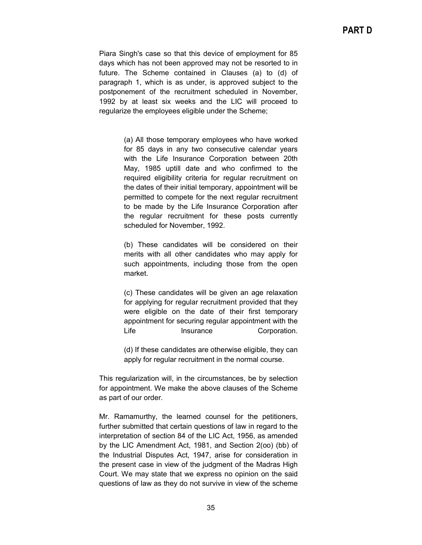Piara Singh's case so that this device of employment for 85 days which has not been approved may not be resorted to in future. The Scheme contained in Clauses (a) to (d) of paragraph 1, which is as under, is approved subject to the postponement of the recruitment scheduled in November, 1992 by at least six weeks and the LIC will proceed to regularize the employees eligible under the Scheme;

> (a) All those temporary employees who have worked for 85 days in any two consecutive calendar years with the Life Insurance Corporation between 20th May, 1985 uptill date and who confirmed to the required eligibility criteria for regular recruitment on the dates of their initial temporary, appointment will be permitted to compete for the next regular recruitment to be made by the Life Insurance Corporation after the regular recruitment for these posts currently scheduled for November, 1992.

> (b) These candidates will be considered on their merits with all other candidates who may apply for such appointments, including those from the open market.

> (c) These candidates will be given an age relaxation for applying for regular recruitment provided that they were eligible on the date of their first temporary appointment for securing regular appointment with the Life Insurance Corporation.

> (d) If these candidates are otherwise eligible, they can apply for regular recruitment in the normal course.

This regularization will, in the circumstances, be by selection for appointment. We make the above clauses of the Scheme as part of our order.

Mr. Ramamurthy, the learned counsel for the petitioners, further submitted that certain questions of law in regard to the interpretation of section 84 of the LIC Act, 1956, as amended by the LIC Amendment Act, 1981, and Section 2(oo) (bb) of the Industrial Disputes Act, 1947, arise for consideration in the present case in view of the judgment of the Madras High Court. We may state that we express no opinion on the said questions of law as they do not survive in view of the scheme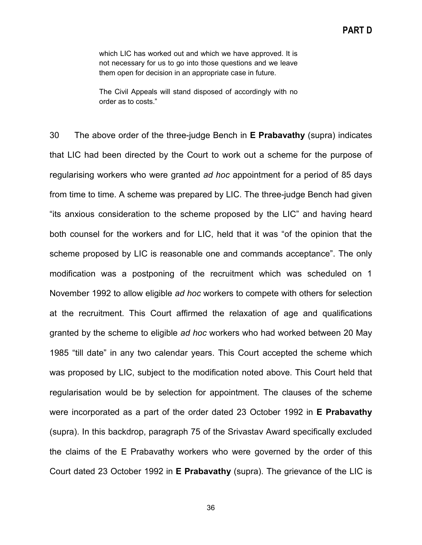which LIC has worked out and which we have approved. It is not necessary for us to go into those questions and we leave them open for decision in an appropriate case in future.

The Civil Appeals will stand disposed of accordingly with no order as to costs."

30 The above order of the three-judge Bench in **E Prabavathy** (supra) indicates that LIC had been directed by the Court to work out a scheme for the purpose of regularising workers who were granted *ad hoc* appointment for a period of 85 days from time to time. A scheme was prepared by LIC. The three-judge Bench had given "its anxious consideration to the scheme proposed by the LIC" and having heard both counsel for the workers and for LIC, held that it was "of the opinion that the scheme proposed by LIC is reasonable one and commands acceptance". The only modification was a postponing of the recruitment which was scheduled on 1 November 1992 to allow eligible *ad hoc* workers to compete with others for selection at the recruitment. This Court affirmed the relaxation of age and qualifications granted by the scheme to eligible *ad hoc* workers who had worked between 20 May 1985 "till date" in any two calendar years. This Court accepted the scheme which was proposed by LIC, subject to the modification noted above. This Court held that regularisation would be by selection for appointment. The clauses of the scheme were incorporated as a part of the order dated 23 October 1992 in **E Prabavathy**  (supra). In this backdrop, paragraph 75 of the Srivastav Award specifically excluded the claims of the E Prabavathy workers who were governed by the order of this Court dated 23 October 1992 in **E Prabavathy** (supra). The grievance of the LIC is

36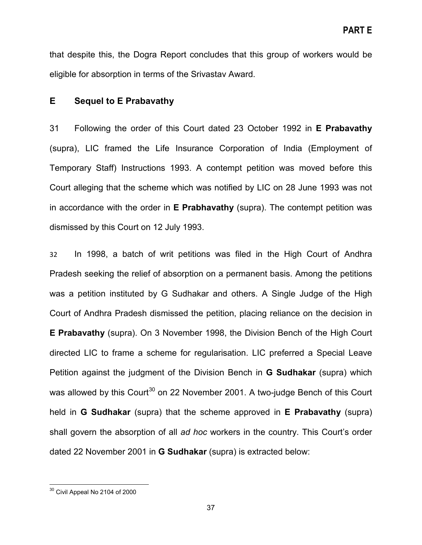that despite this, the Dogra Report concludes that this group of workers would be eligible for absorption in terms of the Srivastav Award.

## **E Sequel to E Prabavathy**

31 Following the order of this Court dated 23 October 1992 in **E Prabavathy** (supra), LIC framed the Life Insurance Corporation of India (Employment of Temporary Staff) Instructions 1993. A contempt petition was moved before this Court alleging that the scheme which was notified by LIC on 28 June 1993 was not in accordance with the order in **E Prabhavathy** (supra). The contempt petition was dismissed by this Court on 12 July 1993.

32 In 1998, a batch of writ petitions was filed in the High Court of Andhra Pradesh seeking the relief of absorption on a permanent basis. Among the petitions was a petition instituted by G Sudhakar and others. A Single Judge of the High Court of Andhra Pradesh dismissed the petition, placing reliance on the decision in **E Prabavathy** (supra). On 3 November 1998, the Division Bench of the High Court directed LIC to frame a scheme for regularisation. LIC preferred a Special Leave Petition against the judgment of the Division Bench in **G Sudhakar** (supra) which was allowed by this Court<sup>[30](#page-36-0)</sup> on 22 November 2001. A two-judge Bench of this Court held in **G Sudhakar** (supra) that the scheme approved in **E Prabavathy** (supra) shall govern the absorption of all *ad hoc* workers in the country. This Court's order dated 22 November 2001 in **G Sudhakar** (supra) is extracted below:

<span id="page-36-0"></span><sup>30</sup> Civil Appeal No 2104 of 2000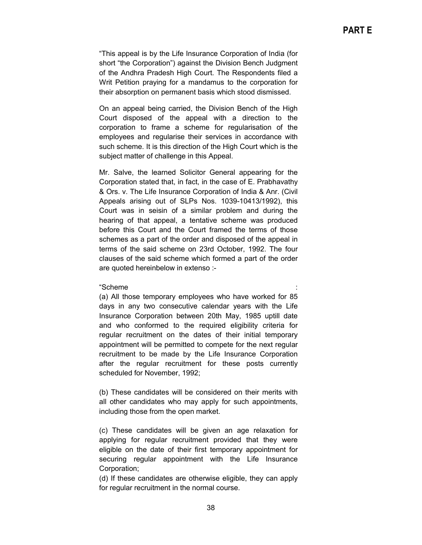"This appeal is by the Life Insurance Corporation of India (for short "the Corporation") against the Division Bench Judgment of the Andhra Pradesh High Court. The Respondents filed a Writ Petition praying for a mandamus to the corporation for their absorption on permanent basis which stood dismissed.

On an appeal being carried, the Division Bench of the High Court disposed of the appeal with a direction to the corporation to frame a scheme for regularisation of the employees and regularise their services in accordance with such scheme. It is this direction of the High Court which is the subject matter of challenge in this Appeal.

Mr. Salve, the learned Solicitor General appearing for the Corporation stated that, in fact, in the case of E. Prabhavathy & Ors. v. The Life Insurance Corporation of India & Anr. (Civil Appeals arising out of SLPs Nos. 1039-10413/1992), this Court was in seisin of a similar problem and during the hearing of that appeal, a tentative scheme was produced before this Court and the Court framed the terms of those schemes as a part of the order and disposed of the appeal in terms of the said scheme on 23rd October, 1992. The four clauses of the said scheme which formed a part of the order are quoted hereinbelow in extenso :-

#### "Scheme :

(a) All those temporary employees who have worked for 85 days in any two consecutive calendar years with the Life Insurance Corporation between 20th May, 1985 uptill date and who conformed to the required eligibility criteria for regular recruitment on the dates of their initial temporary appointment will be permitted to compete for the next regular recruitment to be made by the Life Insurance Corporation after the regular recruitment for these posts currently scheduled for November, 1992;

(b) These candidates will be considered on their merits with all other candidates who may apply for such appointments, including those from the open market.

(c) These candidates will be given an age relaxation for applying for regular recruitment provided that they were eligible on the date of their first temporary appointment for securing regular appointment with the Life Insurance Corporation;

(d) If these candidates are otherwise eligible, they can apply for regular recruitment in the normal course.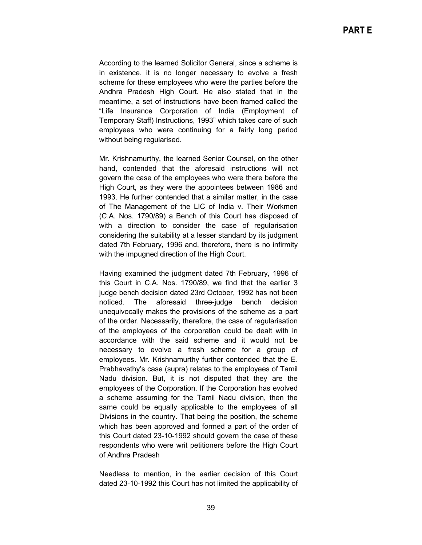According to the learned Solicitor General, since a scheme is in existence, it is no longer necessary to evolve a fresh scheme for these employees who were the parties before the Andhra Pradesh High Court. He also stated that in the meantime, a set of instructions have been framed called the "Life Insurance Corporation of India (Employment of Temporary Staff) Instructions, 1993" which takes care of such employees who were continuing for a fairly long period without being regularised.

Mr. Krishnamurthy, the learned Senior Counsel, on the other hand, contended that the aforesaid instructions will not govern the case of the employees who were there before the High Court, as they were the appointees between 1986 and 1993. He further contended that a similar matter, in the case of The Management of the LIC of India v. Their Workmen (C.A. Nos. 1790/89) a Bench of this Court has disposed of with a direction to consider the case of regularisation considering the suitability at a lesser standard by its judgment dated 7th February, 1996 and, therefore, there is no infirmity with the impugned direction of the High Court.

Having examined the judgment dated 7th February, 1996 of this Court in C.A. Nos. 1790/89, we find that the earlier 3 judge bench decision dated 23rd October, 1992 has not been noticed. The aforesaid three-judge bench decision unequivocally makes the provisions of the scheme as a part of the order. Necessarily, therefore, the case of regularisation of the employees of the corporation could be dealt with in accordance with the said scheme and it would not be necessary to evolve a fresh scheme for a group of employees. Mr. Krishnamurthy further contended that the E. Prabhavathy's case (supra) relates to the employees of Tamil Nadu division. But, it is not disputed that they are the employees of the Corporation. If the Corporation has evolved a scheme assuming for the Tamil Nadu division, then the same could be equally applicable to the employees of all Divisions in the country. That being the position, the scheme which has been approved and formed a part of the order of this Court dated 23-10-1992 should govern the case of these respondents who were writ petitioners before the High Court of Andhra Pradesh

Needless to mention, in the earlier decision of this Court dated 23-10-1992 this Court has not limited the applicability of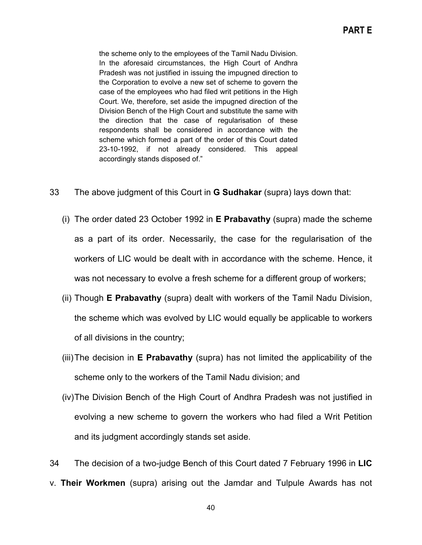the scheme only to the employees of the Tamil Nadu Division. In the aforesaid circumstances, the High Court of Andhra Pradesh was not justified in issuing the impugned direction to the Corporation to evolve a new set of scheme to govern the case of the employees who had filed writ petitions in the High Court. We, therefore, set aside the impugned direction of the Division Bench of the High Court and substitute the same with the direction that the case of regularisation of these respondents shall be considered in accordance with the scheme which formed a part of the order of this Court dated 23-10-1992, if not already considered. This appeal accordingly stands disposed of."

- 33 The above judgment of this Court in **G Sudhakar** (supra) lays down that:
	- (i) The order dated 23 October 1992 in **E Prabavathy** (supra) made the scheme as a part of its order. Necessarily, the case for the regularisation of the workers of LIC would be dealt with in accordance with the scheme. Hence, it was not necessary to evolve a fresh scheme for a different group of workers;
	- (ii) Though **E Prabavathy** (supra) dealt with workers of the Tamil Nadu Division, the scheme which was evolved by LIC would equally be applicable to workers of all divisions in the country;
	- (iii)The decision in **E Prabavathy** (supra) has not limited the applicability of the scheme only to the workers of the Tamil Nadu division; and
	- (iv)The Division Bench of the High Court of Andhra Pradesh was not justified in evolving a new scheme to govern the workers who had filed a Writ Petition and its judgment accordingly stands set aside.

34 The decision of a two-judge Bench of this Court dated 7 February 1996 in **LIC**  v. **Their Workmen** (supra) arising out the Jamdar and Tulpule Awards has not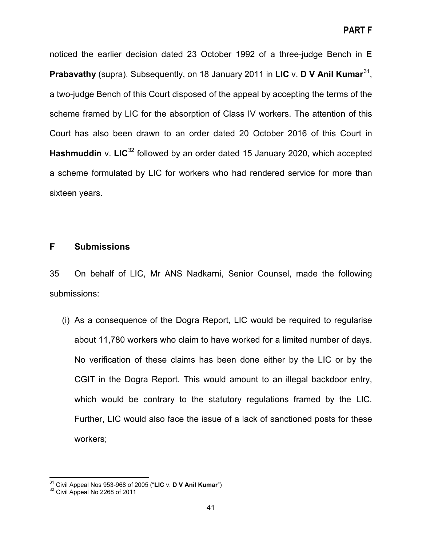noticed the earlier decision dated 23 October 1992 of a three-judge Bench in **E Prabavathy** (supra). Subsequently, on 18 January 2011 in **LIC** v. **D V Anil Kumar**[31,](#page-40-0) a two-judge Bench of this Court disposed of the appeal by accepting the terms of the scheme framed by LIC for the absorption of Class IV workers. The attention of this Court has also been drawn to an order dated 20 October 2016 of this Court in **Hashmuddin** v. LIC<sup>[32](#page-40-1)</sup> followed by an order dated 15 January 2020, which accepted a scheme formulated by LIC for workers who had rendered service for more than sixteen years.

# **F Submissions**

35 On behalf of LIC, Mr ANS Nadkarni, Senior Counsel, made the following submissions:

(i) As a consequence of the Dogra Report, LIC would be required to regularise about 11,780 workers who claim to have worked for a limited number of days. No verification of these claims has been done either by the LIC or by the CGIT in the Dogra Report. This would amount to an illegal backdoor entry, which would be contrary to the statutory regulations framed by the LIC. Further, LIC would also face the issue of a lack of sanctioned posts for these workers;

<span id="page-40-1"></span><span id="page-40-0"></span><sup>31</sup> Civil Appeal Nos 953-968 of 2005 ("**LIC** v. **D V Anil Kumar**") <sup>32</sup> Civil Appeal No 2268 of 2011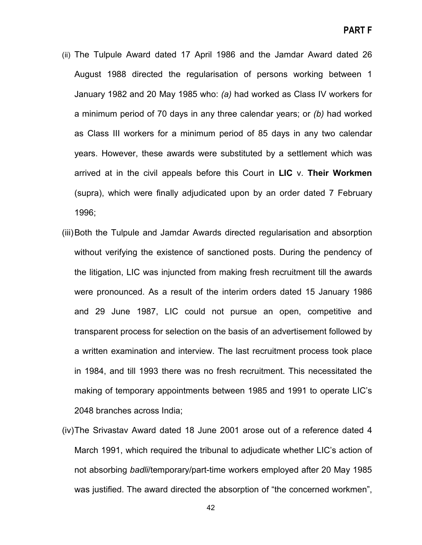- (ii) The Tulpule Award dated 17 April 1986 and the Jamdar Award dated 26 August 1988 directed the regularisation of persons working between 1 January 1982 and 20 May 1985 who: *(a)* had worked as Class IV workers for a minimum period of 70 days in any three calendar years; or *(b)* had worked as Class III workers for a minimum period of 85 days in any two calendar years. However, these awards were substituted by a settlement which was arrived at in the civil appeals before this Court in **LIC** v. **Their Workmen** (supra), which were finally adjudicated upon by an order dated 7 February 1996;
- (iii)Both the Tulpule and Jamdar Awards directed regularisation and absorption without verifying the existence of sanctioned posts. During the pendency of the litigation, LIC was injuncted from making fresh recruitment till the awards were pronounced. As a result of the interim orders dated 15 January 1986 and 29 June 1987, LIC could not pursue an open, competitive and transparent process for selection on the basis of an advertisement followed by a written examination and interview. The last recruitment process took place in 1984, and till 1993 there was no fresh recruitment. This necessitated the making of temporary appointments between 1985 and 1991 to operate LIC's 2048 branches across India;
- (iv)The Srivastav Award dated 18 June 2001 arose out of a reference dated 4 March 1991, which required the tribunal to adjudicate whether LIC's action of not absorbing *badli*/temporary/part-time workers employed after 20 May 1985 was justified. The award directed the absorption of "the concerned workmen",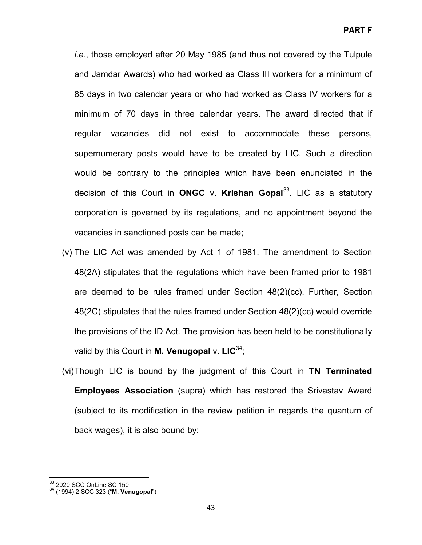*i.e.*, those employed after 20 May 1985 (and thus not covered by the Tulpule and Jamdar Awards) who had worked as Class III workers for a minimum of 85 days in two calendar years or who had worked as Class IV workers for a minimum of 70 days in three calendar years. The award directed that if regular vacancies did not exist to accommodate these persons, supernumerary posts would have to be created by LIC. Such a direction would be contrary to the principles which have been enunciated in the decision of this Court in **ONGC** v. **Krishan Gopal**[33](#page-42-0). LIC as a statutory corporation is governed by its regulations, and no appointment beyond the vacancies in sanctioned posts can be made;

- (v) The LIC Act was amended by Act 1 of 1981. The amendment to Section 48(2A) stipulates that the regulations which have been framed prior to 1981 are deemed to be rules framed under Section 48(2)(cc). Further, Section 48(2C) stipulates that the rules framed under Section 48(2)(cc) would override the provisions of the ID Act. The provision has been held to be constitutionally valid by this Court in **M. Venugopal** v. **LIC**[34](#page-42-1);
- (vi)Though LIC is bound by the judgment of this Court in **TN Terminated Employees Association** (supra) which has restored the Srivastav Award (subject to its modification in the review petition in regards the quantum of back wages), it is also bound by:

<span id="page-42-1"></span><span id="page-42-0"></span><sup>&</sup>lt;sup>33</sup> 2020 SCC OnLine SC 150<br><sup>34</sup> (1994) 2 SCC 323 ("**M. Venugopal**")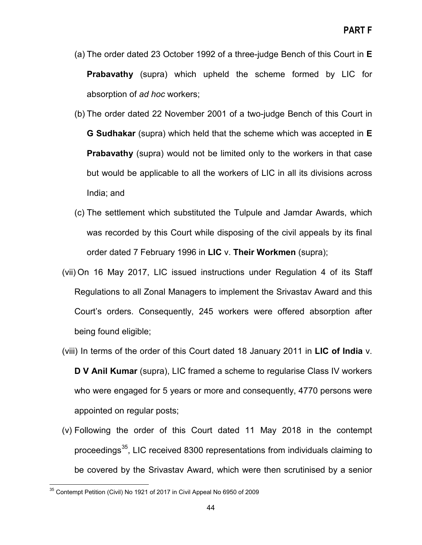- (a) The order dated 23 October 1992 of a three-judge Bench of this Court in **E Prabavathy** (supra) which upheld the scheme formed by LIC for absorption of *ad hoc* workers;
- (b) The order dated 22 November 2001 of a two-judge Bench of this Court in **G Sudhakar** (supra) which held that the scheme which was accepted in **E Prabavathy** (supra) would not be limited only to the workers in that case but would be applicable to all the workers of LIC in all its divisions across India; and
- (c) The settlement which substituted the Tulpule and Jamdar Awards, which was recorded by this Court while disposing of the civil appeals by its final order dated 7 February 1996 in **LIC** v. **Their Workmen** (supra);
- (vii) On 16 May 2017, LIC issued instructions under Regulation 4 of its Staff Regulations to all Zonal Managers to implement the Srivastav Award and this Court's orders. Consequently, 245 workers were offered absorption after being found eligible;
- (viii) In terms of the order of this Court dated 18 January 2011 in **LIC of India** v. **D V Anil Kumar** (supra), LIC framed a scheme to regularise Class IV workers who were engaged for 5 years or more and consequently, 4770 persons were appointed on regular posts;
- (v) Following the order of this Court dated 11 May 2018 in the contempt proceedings<sup>35</sup>, LIC received 8300 representations from individuals claiming to be covered by the Srivastav Award, which were then scrutinised by a senior

<span id="page-43-0"></span><sup>&</sup>lt;sup>35</sup> Contempt Petition (Civil) No 1921 of 2017 in Civil Appeal No 6950 of 2009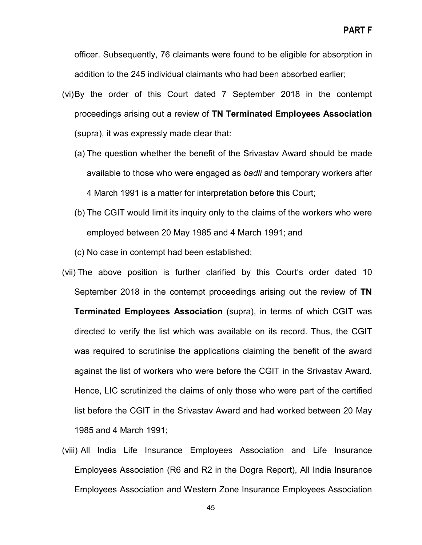officer. Subsequently, 76 claimants were found to be eligible for absorption in addition to the 245 individual claimants who had been absorbed earlier;

- (vi)By the order of this Court dated 7 September 2018 in the contempt proceedings arising out a review of **TN Terminated Employees Association**  (supra), it was expressly made clear that:
	- (a) The question whether the benefit of the Srivastav Award should be made available to those who were engaged as *badli* and temporary workers after 4 March 1991 is a matter for interpretation before this Court;
	- (b) The CGIT would limit its inquiry only to the claims of the workers who were employed between 20 May 1985 and 4 March 1991; and
	- (c) No case in contempt had been established;
- (vii) The above position is further clarified by this Court's order dated 10 September 2018 in the contempt proceedings arising out the review of **TN Terminated Employees Association** (supra), in terms of which CGIT was directed to verify the list which was available on its record. Thus, the CGIT was required to scrutinise the applications claiming the benefit of the award against the list of workers who were before the CGIT in the Srivastav Award. Hence, LIC scrutinized the claims of only those who were part of the certified list before the CGIT in the Srivastav Award and had worked between 20 May 1985 and 4 March 1991;
- (viii) All India Life Insurance Employees Association and Life Insurance Employees Association (R6 and R2 in the Dogra Report), All India Insurance Employees Association and Western Zone Insurance Employees Association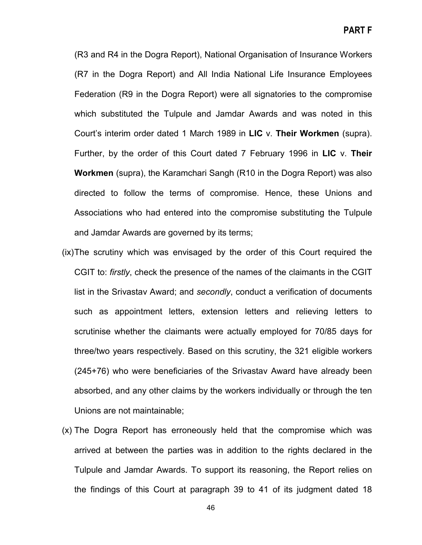**PART F**

(R3 and R4 in the Dogra Report), National Organisation of Insurance Workers (R7 in the Dogra Report) and All India National Life Insurance Employees Federation (R9 in the Dogra Report) were all signatories to the compromise which substituted the Tulpule and Jamdar Awards and was noted in this Court's interim order dated 1 March 1989 in **LIC** v. **Their Workmen** (supra). Further, by the order of this Court dated 7 February 1996 in **LIC** v. **Their Workmen** (supra), the Karamchari Sangh (R10 in the Dogra Report) was also directed to follow the terms of compromise. Hence, these Unions and Associations who had entered into the compromise substituting the Tulpule and Jamdar Awards are governed by its terms;

- (ix)The scrutiny which was envisaged by the order of this Court required the CGIT to: *firstly*, check the presence of the names of the claimants in the CGIT list in the Srivastav Award; and *secondly*, conduct a verification of documents such as appointment letters, extension letters and relieving letters to scrutinise whether the claimants were actually employed for 70/85 days for three/two years respectively. Based on this scrutiny, the 321 eligible workers (245+76) who were beneficiaries of the Srivastav Award have already been absorbed, and any other claims by the workers individually or through the ten Unions are not maintainable;
- (x) The Dogra Report has erroneously held that the compromise which was arrived at between the parties was in addition to the rights declared in the Tulpule and Jamdar Awards. To support its reasoning, the Report relies on the findings of this Court at paragraph 39 to 41 of its judgment dated 18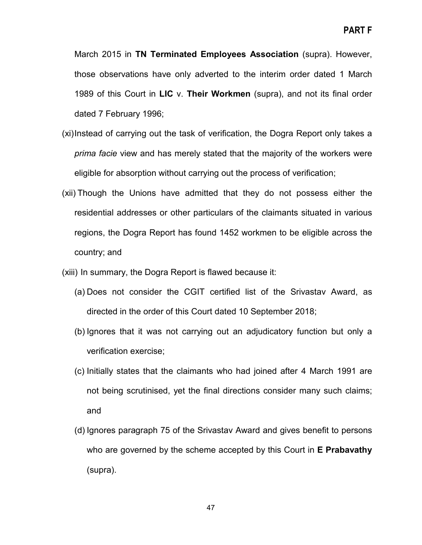March 2015 in **TN Terminated Employees Association** (supra). However, those observations have only adverted to the interim order dated 1 March 1989 of this Court in **LIC** v. **Their Workmen** (supra), and not its final order dated 7 February 1996;

- (xi)Instead of carrying out the task of verification, the Dogra Report only takes a *prima facie* view and has merely stated that the majority of the workers were eligible for absorption without carrying out the process of verification;
- (xii) Though the Unions have admitted that they do not possess either the residential addresses or other particulars of the claimants situated in various regions, the Dogra Report has found 1452 workmen to be eligible across the country; and

(xiii) In summary, the Dogra Report is flawed because it:

- (a) Does not consider the CGIT certified list of the Srivastav Award, as directed in the order of this Court dated 10 September 2018;
- (b) Ignores that it was not carrying out an adjudicatory function but only a verification exercise;
- (c) Initially states that the claimants who had joined after 4 March 1991 are not being scrutinised, yet the final directions consider many such claims; and
- (d) Ignores paragraph 75 of the Srivastav Award and gives benefit to persons who are governed by the scheme accepted by this Court in **E Prabavathy**  (supra).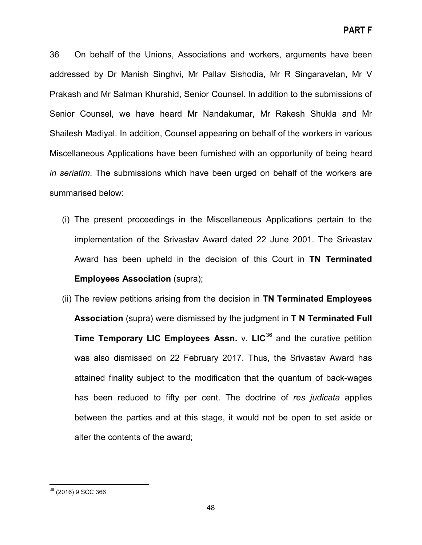36 On behalf of the Unions, Associations and workers, arguments have been addressed by Dr Manish Singhvi, Mr Pallav Sishodia, Mr R Singaravelan, Mr V Prakash and Mr Salman Khurshid, Senior Counsel. In addition to the submissions of Senior Counsel, we have heard Mr Nandakumar, Mr Rakesh Shukla and Mr Shailesh Madiyal. In addition, Counsel appearing on behalf of the workers in various Miscellaneous Applications have been furnished with an opportunity of being heard *in seriatim*. The submissions which have been urged on behalf of the workers are summarised below:

- (i) The present proceedings in the Miscellaneous Applications pertain to the implementation of the Srivastav Award dated 22 June 2001. The Srivastav Award has been upheld in the decision of this Court in **TN Terminated Employees Association** (supra);
- (ii) The review petitions arising from the decision in **TN Terminated Employees Association** (supra) were dismissed by the judgment in **T N Terminated Full Time Temporary LIC Employees Assn.** v. LIC<sup>[36](#page-47-0)</sup> and the curative petition was also dismissed on 22 February 2017. Thus, the Srivastav Award has attained finality subject to the modification that the quantum of back-wages has been reduced to fifty per cent. The doctrine of *res judicata* applies between the parties and at this stage, it would not be open to set aside or alter the contents of the award;

<span id="page-47-0"></span><sup>36</sup> (2016) 9 SCC 366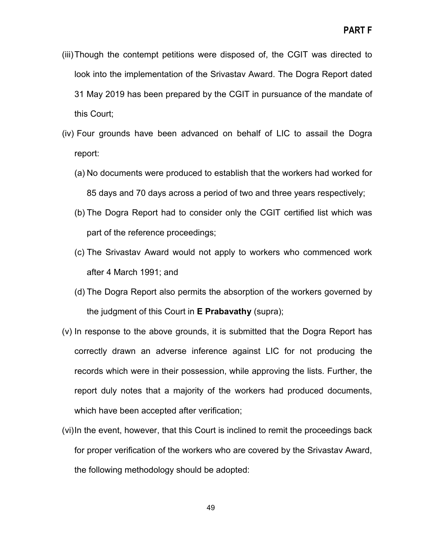- (iii)Though the contempt petitions were disposed of, the CGIT was directed to look into the implementation of the Srivastav Award. The Dogra Report dated 31 May 2019 has been prepared by the CGIT in pursuance of the mandate of this Court;
- (iv) Four grounds have been advanced on behalf of LIC to assail the Dogra report:
	- (a) No documents were produced to establish that the workers had worked for 85 days and 70 days across a period of two and three years respectively;
	- (b) The Dogra Report had to consider only the CGIT certified list which was part of the reference proceedings;
	- (c) The Srivastav Award would not apply to workers who commenced work after 4 March 1991; and
	- (d) The Dogra Report also permits the absorption of the workers governed by the judgment of this Court in **E Prabavathy** (supra);
- (v) In response to the above grounds, it is submitted that the Dogra Report has correctly drawn an adverse inference against LIC for not producing the records which were in their possession, while approving the lists. Further, the report duly notes that a majority of the workers had produced documents, which have been accepted after verification;
- (vi)In the event, however, that this Court is inclined to remit the proceedings back for proper verification of the workers who are covered by the Srivastav Award, the following methodology should be adopted: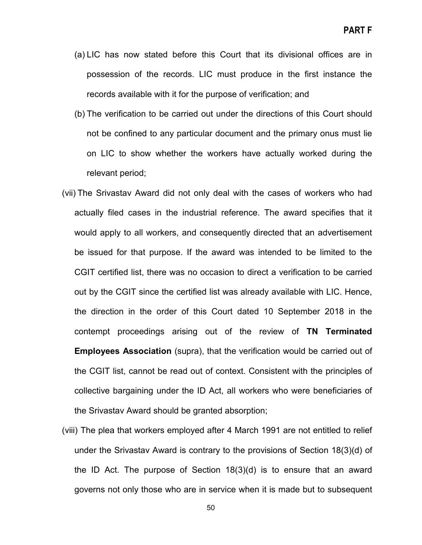- (a) LIC has now stated before this Court that its divisional offices are in possession of the records. LIC must produce in the first instance the records available with it for the purpose of verification; and
- (b) The verification to be carried out under the directions of this Court should not be confined to any particular document and the primary onus must lie on LIC to show whether the workers have actually worked during the relevant period;
- (vii) The Srivastav Award did not only deal with the cases of workers who had actually filed cases in the industrial reference. The award specifies that it would apply to all workers, and consequently directed that an advertisement be issued for that purpose. If the award was intended to be limited to the CGIT certified list, there was no occasion to direct a verification to be carried out by the CGIT since the certified list was already available with LIC. Hence, the direction in the order of this Court dated 10 September 2018 in the contempt proceedings arising out of the review of **TN Terminated Employees Association** (supra), that the verification would be carried out of the CGIT list, cannot be read out of context. Consistent with the principles of collective bargaining under the ID Act, all workers who were beneficiaries of the Srivastav Award should be granted absorption;
- (viii) The plea that workers employed after 4 March 1991 are not entitled to relief under the Srivastav Award is contrary to the provisions of Section 18(3)(d) of the ID Act. The purpose of Section 18(3)(d) is to ensure that an award governs not only those who are in service when it is made but to subsequent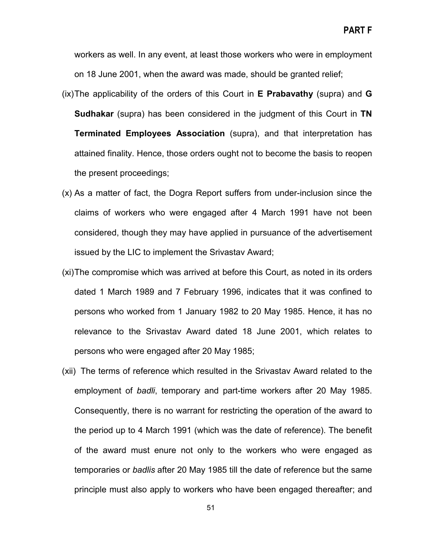workers as well. In any event, at least those workers who were in employment on 18 June 2001, when the award was made, should be granted relief;

- (ix)The applicability of the orders of this Court in **E Prabavathy** (supra) and **G Sudhakar** (supra) has been considered in the judgment of this Court in **TN Terminated Employees Association** (supra), and that interpretation has attained finality. Hence, those orders ought not to become the basis to reopen the present proceedings;
- (x) As a matter of fact, the Dogra Report suffers from under-inclusion since the claims of workers who were engaged after 4 March 1991 have not been considered, though they may have applied in pursuance of the advertisement issued by the LIC to implement the Srivastav Award;
- (xi)The compromise which was arrived at before this Court, as noted in its orders dated 1 March 1989 and 7 February 1996, indicates that it was confined to persons who worked from 1 January 1982 to 20 May 1985. Hence, it has no relevance to the Srivastav Award dated 18 June 2001, which relates to persons who were engaged after 20 May 1985;
- (xii) The terms of reference which resulted in the Srivastav Award related to the employment of *badli*, temporary and part-time workers after 20 May 1985. Consequently, there is no warrant for restricting the operation of the award to the period up to 4 March 1991 (which was the date of reference). The benefit of the award must enure not only to the workers who were engaged as temporaries or *badlis* after 20 May 1985 till the date of reference but the same principle must also apply to workers who have been engaged thereafter; and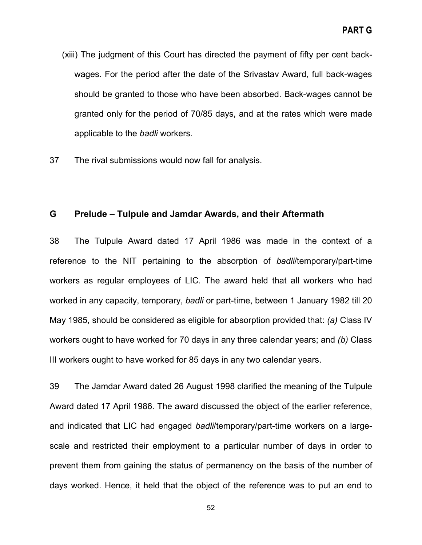- (xiii) The judgment of this Court has directed the payment of fifty per cent backwages. For the period after the date of the Srivastav Award, full back-wages should be granted to those who have been absorbed. Back-wages cannot be granted only for the period of 70/85 days, and at the rates which were made applicable to the *badli* workers.
- 37 The rival submissions would now fall for analysis.

### **G Prelude – Tulpule and Jamdar Awards, and their Aftermath**

38 The Tulpule Award dated 17 April 1986 was made in the context of a reference to the NIT pertaining to the absorption of *badli*/temporary/part-time workers as regular employees of LIC. The award held that all workers who had worked in any capacity, temporary, *badli* or part-time, between 1 January 1982 till 20 May 1985, should be considered as eligible for absorption provided that: *(a)* Class IV workers ought to have worked for 70 days in any three calendar years; and *(b)* Class III workers ought to have worked for 85 days in any two calendar years.

39 The Jamdar Award dated 26 August 1998 clarified the meaning of the Tulpule Award dated 17 April 1986. The award discussed the object of the earlier reference, and indicated that LIC had engaged *badli*/temporary/part-time workers on a largescale and restricted their employment to a particular number of days in order to prevent them from gaining the status of permanency on the basis of the number of days worked. Hence, it held that the object of the reference was to put an end to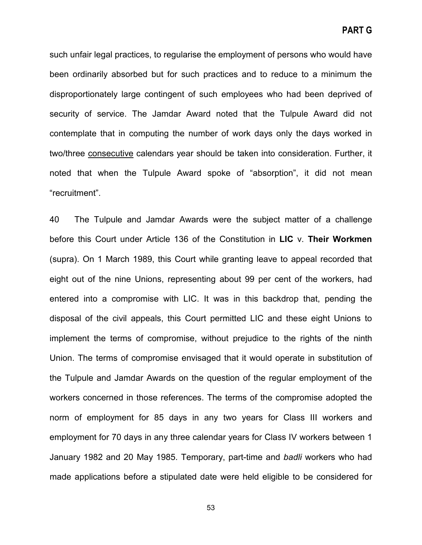**PART G**

such unfair legal practices, to regularise the employment of persons who would have been ordinarily absorbed but for such practices and to reduce to a minimum the disproportionately large contingent of such employees who had been deprived of security of service. The Jamdar Award noted that the Tulpule Award did not contemplate that in computing the number of work days only the days worked in two/three consecutive calendars year should be taken into consideration. Further, it noted that when the Tulpule Award spoke of "absorption", it did not mean "recruitment".

40 The Tulpule and Jamdar Awards were the subject matter of a challenge before this Court under Article 136 of the Constitution in **LIC** v. **Their Workmen**  (supra). On 1 March 1989, this Court while granting leave to appeal recorded that eight out of the nine Unions, representing about 99 per cent of the workers, had entered into a compromise with LIC. It was in this backdrop that, pending the disposal of the civil appeals, this Court permitted LIC and these eight Unions to implement the terms of compromise, without prejudice to the rights of the ninth Union. The terms of compromise envisaged that it would operate in substitution of the Tulpule and Jamdar Awards on the question of the regular employment of the workers concerned in those references. The terms of the compromise adopted the norm of employment for 85 days in any two years for Class III workers and employment for 70 days in any three calendar years for Class IV workers between 1 January 1982 and 20 May 1985. Temporary, part-time and *badli* workers who had made applications before a stipulated date were held eligible to be considered for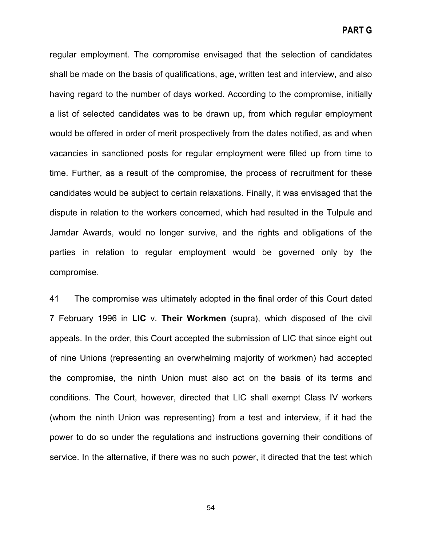**PART G**

regular employment. The compromise envisaged that the selection of candidates shall be made on the basis of qualifications, age, written test and interview, and also having regard to the number of days worked. According to the compromise, initially a list of selected candidates was to be drawn up, from which regular employment would be offered in order of merit prospectively from the dates notified, as and when vacancies in sanctioned posts for regular employment were filled up from time to time. Further, as a result of the compromise, the process of recruitment for these candidates would be subject to certain relaxations. Finally, it was envisaged that the dispute in relation to the workers concerned, which had resulted in the Tulpule and Jamdar Awards, would no longer survive, and the rights and obligations of the parties in relation to regular employment would be governed only by the compromise.

41 The compromise was ultimately adopted in the final order of this Court dated 7 February 1996 in **LIC** v. **Their Workmen** (supra), which disposed of the civil appeals. In the order, this Court accepted the submission of LIC that since eight out of nine Unions (representing an overwhelming majority of workmen) had accepted the compromise, the ninth Union must also act on the basis of its terms and conditions. The Court, however, directed that LIC shall exempt Class IV workers (whom the ninth Union was representing) from a test and interview, if it had the power to do so under the regulations and instructions governing their conditions of service. In the alternative, if there was no such power, it directed that the test which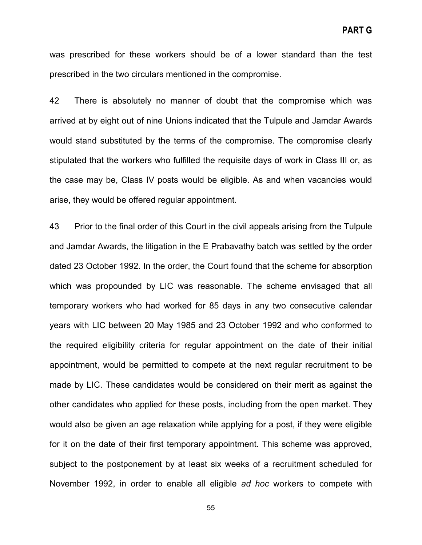was prescribed for these workers should be of a lower standard than the test prescribed in the two circulars mentioned in the compromise.

42 There is absolutely no manner of doubt that the compromise which was arrived at by eight out of nine Unions indicated that the Tulpule and Jamdar Awards would stand substituted by the terms of the compromise. The compromise clearly stipulated that the workers who fulfilled the requisite days of work in Class III or, as the case may be, Class IV posts would be eligible. As and when vacancies would arise, they would be offered regular appointment.

43 Prior to the final order of this Court in the civil appeals arising from the Tulpule and Jamdar Awards, the litigation in the E Prabavathy batch was settled by the order dated 23 October 1992. In the order, the Court found that the scheme for absorption which was propounded by LIC was reasonable. The scheme envisaged that all temporary workers who had worked for 85 days in any two consecutive calendar years with LIC between 20 May 1985 and 23 October 1992 and who conformed to the required eligibility criteria for regular appointment on the date of their initial appointment, would be permitted to compete at the next regular recruitment to be made by LIC. These candidates would be considered on their merit as against the other candidates who applied for these posts, including from the open market. They would also be given an age relaxation while applying for a post, if they were eligible for it on the date of their first temporary appointment. This scheme was approved, subject to the postponement by at least six weeks of a recruitment scheduled for November 1992, in order to enable all eligible *ad hoc* workers to compete with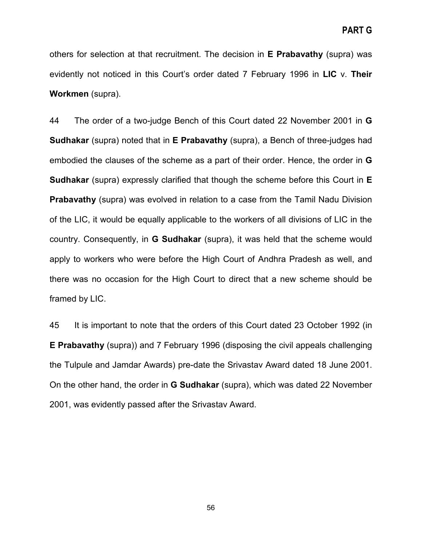others for selection at that recruitment. The decision in **E Prabavathy** (supra) was evidently not noticed in this Court's order dated 7 February 1996 in **LIC** v. **Their Workmen** (supra).

44 The order of a two-judge Bench of this Court dated 22 November 2001 in **G Sudhakar** (supra) noted that in **E Prabavathy** (supra), a Bench of three-judges had embodied the clauses of the scheme as a part of their order. Hence, the order in **G Sudhakar** (supra) expressly clarified that though the scheme before this Court in **E Prabavathy** (supra) was evolved in relation to a case from the Tamil Nadu Division of the LIC, it would be equally applicable to the workers of all divisions of LIC in the country. Consequently, in **G Sudhakar** (supra), it was held that the scheme would apply to workers who were before the High Court of Andhra Pradesh as well, and there was no occasion for the High Court to direct that a new scheme should be framed by LIC.

45 It is important to note that the orders of this Court dated 23 October 1992 (in **E Prabavathy** (supra)) and 7 February 1996 (disposing the civil appeals challenging the Tulpule and Jamdar Awards) pre-date the Srivastav Award dated 18 June 2001. On the other hand, the order in **G Sudhakar** (supra), which was dated 22 November 2001, was evidently passed after the Srivastav Award.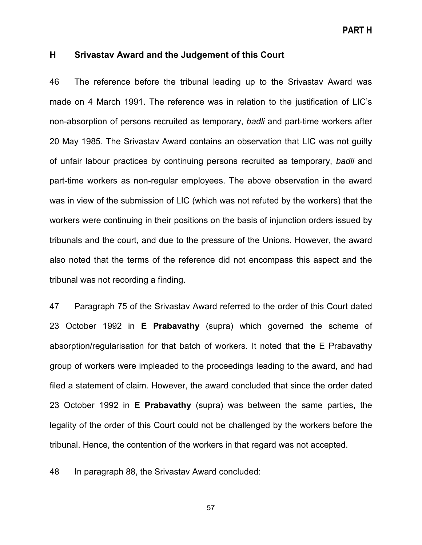**PART H**

### **H Srivastav Award and the Judgement of this Court**

46 The reference before the tribunal leading up to the Srivastav Award was made on 4 March 1991. The reference was in relation to the justification of LIC's non-absorption of persons recruited as temporary, *badli* and part-time workers after 20 May 1985. The Srivastav Award contains an observation that LIC was not guilty of unfair labour practices by continuing persons recruited as temporary, *badli* and part-time workers as non-regular employees. The above observation in the award was in view of the submission of LIC (which was not refuted by the workers) that the workers were continuing in their positions on the basis of injunction orders issued by tribunals and the court, and due to the pressure of the Unions. However, the award also noted that the terms of the reference did not encompass this aspect and the tribunal was not recording a finding.

47 Paragraph 75 of the Srivastav Award referred to the order of this Court dated 23 October 1992 in **E Prabavathy** (supra) which governed the scheme of absorption/regularisation for that batch of workers. It noted that the E Prabavathy group of workers were impleaded to the proceedings leading to the award, and had filed a statement of claim. However, the award concluded that since the order dated 23 October 1992 in **E Prabavathy** (supra) was between the same parties, the legality of the order of this Court could not be challenged by the workers before the tribunal. Hence, the contention of the workers in that regard was not accepted.

48 In paragraph 88, the Srivastav Award concluded: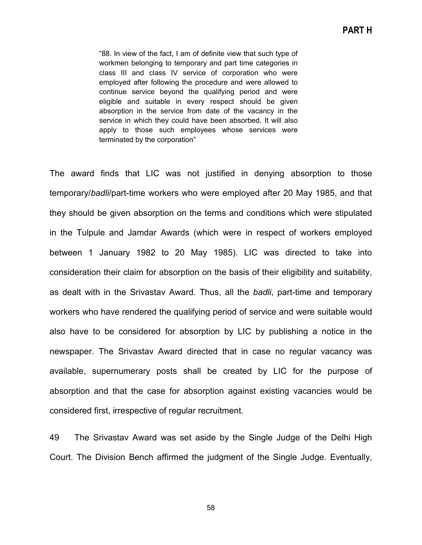"88. In view of the fact, I am of definite view that such type of workmen belonging to temporary and part time categories in class III and class IV service of corporation who were employed after following the procedure and were allowed to continue service beyond the qualifying period and were eligible and suitable in every respect should be given absorption in the service from date of the vacancy in the service in which they could have been absorbed. It will also apply to those such employees whose services were terminated by the corporation"

The award finds that LIC was not justified in denying absorption to those temporary/*badli*/part-time workers who were employed after 20 May 1985, and that they should be given absorption on the terms and conditions which were stipulated in the Tulpule and Jamdar Awards (which were in respect of workers employed between 1 January 1982 to 20 May 1985). LIC was directed to take into consideration their claim for absorption on the basis of their eligibility and suitability, as dealt with in the Srivastav Award. Thus, all the *badli*, part-time and temporary workers who have rendered the qualifying period of service and were suitable would also have to be considered for absorption by LIC by publishing a notice in the newspaper. The Srivastav Award directed that in case no regular vacancy was available, supernumerary posts shall be created by LIC for the purpose of absorption and that the case for absorption against existing vacancies would be considered first, irrespective of regular recruitment.

49 The Srivastav Award was set aside by the Single Judge of the Delhi High Court. The Division Bench affirmed the judgment of the Single Judge. Eventually,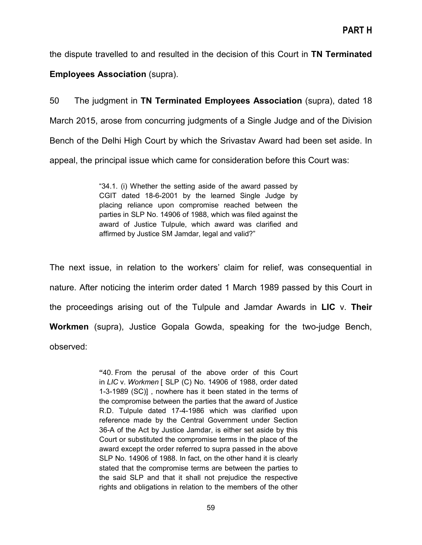the dispute travelled to and resulted in the decision of this Court in **TN Terminated Employees Association** (supra).

50 The judgment in **TN Terminated Employees Association** (supra), dated 18 March 2015, arose from concurring judgments of a Single Judge and of the Division Bench of the Delhi High Court by which the Srivastav Award had been set aside. In appeal, the principal issue which came for consideration before this Court was:

> "34.1. (i) Whether the setting aside of the award passed by CGIT dated 18-6-2001 by the learned Single Judge by placing reliance upon compromise reached between the parties in SLP No. 14906 of 1988, which was filed against the award of Justice Tulpule, which award was clarified and affirmed by Justice SM Jamdar, legal and valid?"

The next issue, in relation to the workers' claim for relief, was consequential in nature. After noticing the interim order dated 1 March 1989 passed by this Court in the proceedings arising out of the Tulpule and Jamdar Awards in **LIC** v. **Their Workmen** (supra), Justice Gopala Gowda, speaking for the two-judge Bench, observed:

> **"**40. From the perusal of the above order of this Court in *LIC* v. *Workmen* [ SLP (C) No. 14906 of 1988, order dated 1-3-1989 (SC)] , nowhere has it been stated in the terms of the compromise between the parties that the award of Justice R.D. Tulpule dated 17-4-1986 which was clarified upon reference made by the Central Government under Section 36-A of the Act by Justice Jamdar, is either set aside by this Court or substituted the compromise terms in the place of the award except the order referred to supra passed in the above SLP No. 14906 of 1988. In fact, on the other hand it is clearly stated that the compromise terms are between the parties to the said SLP and that it shall not prejudice the respective rights and obligations in relation to the members of the other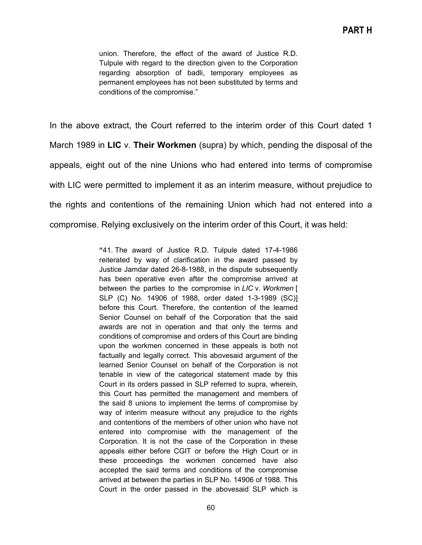union. Therefore, the effect of the award of Justice R.D. Tulpule with regard to the direction given to the Corporation regarding absorption of badli, temporary employees as permanent employees has not been substituted by terms and conditions of the compromise."

In the above extract, the Court referred to the interim order of this Court dated 1 March 1989 in **LIC** v. **Their Workmen** (supra) by which, pending the disposal of the appeals, eight out of the nine Unions who had entered into terms of compromise with LIC were permitted to implement it as an interim measure, without prejudice to the rights and contentions of the remaining Union which had not entered into a compromise. Relying exclusively on the interim order of this Court, it was held:

> **"**41. The award of Justice R.D. Tulpule dated 17-4-1986 reiterated by way of clarification in the award passed by Justice Jamdar dated 26-8-1988, in the dispute subsequently has been operative even after the compromise arrived at between the parties to the compromise in *LIC* v. *Workmen* [ SLP (C) No. 14906 of 1988, order dated 1-3-1989 (SC)] before this Court. Therefore, the contention of the learned Senior Counsel on behalf of the Corporation that the said awards are not in operation and that only the terms and conditions of compromise and orders of this Court are binding upon the workmen concerned in these appeals is both not factually and legally correct. This abovesaid argument of the learned Senior Counsel on behalf of the Corporation is not tenable in view of the categorical statement made by this Court in its orders passed in SLP referred to supra, wherein, this Court has permitted the management and members of the said 8 unions to implement the terms of compromise by way of interim measure without any prejudice to the rights and contentions of the members of other union who have not entered into compromise with the management of the Corporation. It is not the case of the Corporation in these appeals either before CGIT or before the High Court or in these proceedings the workmen concerned have also accepted the said terms and conditions of the compromise arrived at between the parties in SLP No. 14906 of 1988. This Court in the order passed in the abovesaid SLP which is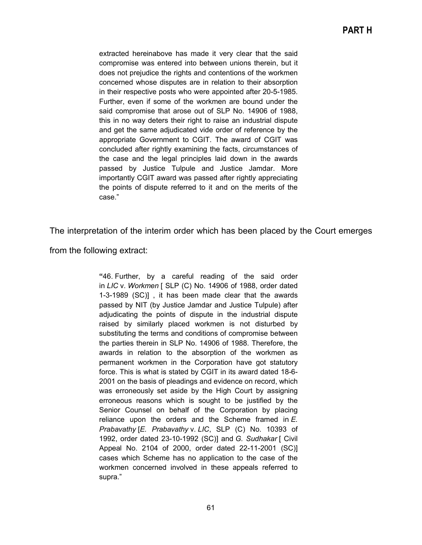extracted hereinabove has made it very clear that the said compromise was entered into between unions therein, but it does not prejudice the rights and contentions of the workmen concerned whose disputes are in relation to their absorption in their respective posts who were appointed after 20-5-1985. Further, even if some of the workmen are bound under the said compromise that arose out of SLP No. 14906 of 1988, this in no way deters their right to raise an industrial dispute and get the same adjudicated vide order of reference by the appropriate Government to CGIT. The award of CGIT was concluded after rightly examining the facts, circumstances of the case and the legal principles laid down in the awards passed by Justice Tulpule and Justice Jamdar. More importantly CGIT award was passed after rightly appreciating the points of dispute referred to it and on the merits of the case."

The interpretation of the interim order which has been placed by the Court emerges

from the following extract:

**"**46. Further, by a careful reading of the said order in *LIC* v. *Workmen* [ SLP (C) No. 14906 of 1988, order dated 1-3-1989 (SC)] , it has been made clear that the awards passed by NIT (by Justice Jamdar and Justice Tulpule) after adjudicating the points of dispute in the industrial dispute raised by similarly placed workmen is not disturbed by substituting the terms and conditions of compromise between the parties therein in SLP No. 14906 of 1988. Therefore, the awards in relation to the absorption of the workmen as permanent workmen in the Corporation have got statutory force. This is what is stated by CGIT in its award dated 18-6- 2001 on the basis of pleadings and evidence on record, which was erroneously set aside by the High Court by assigning erroneous reasons which is sought to be justified by the Senior Counsel on behalf of the Corporation by placing reliance upon the orders and the Scheme framed in *E. Prabavathy* [*E. Prabavathy* v. *LIC*, SLP (C) No. 10393 of 1992, order dated 23-10-1992 (SC)] and *G. Sudhakar* [ Civil Appeal No. 2104 of 2000, order dated 22-11-2001 (SC)] cases which Scheme has no application to the case of the workmen concerned involved in these appeals referred to supra."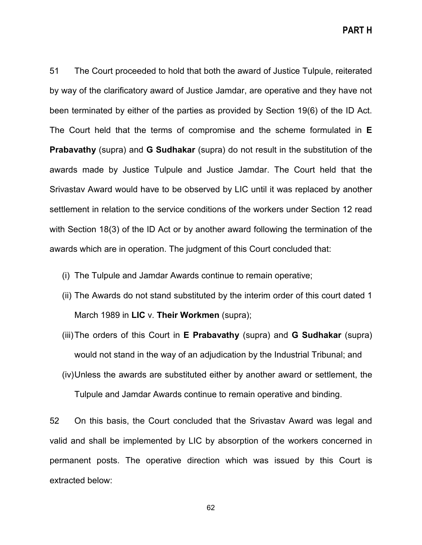**PART H**

51 The Court proceeded to hold that both the award of Justice Tulpule, reiterated by way of the clarificatory award of Justice Jamdar, are operative and they have not been terminated by either of the parties as provided by Section 19(6) of the ID Act. The Court held that the terms of compromise and the scheme formulated in **E Prabavathy** (supra) and **G Sudhakar** (supra) do not result in the substitution of the awards made by Justice Tulpule and Justice Jamdar. The Court held that the Srivastav Award would have to be observed by LIC until it was replaced by another settlement in relation to the service conditions of the workers under Section 12 read with Section 18(3) of the ID Act or by another award following the termination of the awards which are in operation. The judgment of this Court concluded that:

- (i) The Tulpule and Jamdar Awards continue to remain operative;
- (ii) The Awards do not stand substituted by the interim order of this court dated 1 March 1989 in **LIC** v. **Their Workmen** (supra);
- (iii)The orders of this Court in **E Prabavathy** (supra) and **G Sudhakar** (supra) would not stand in the way of an adjudication by the Industrial Tribunal; and
- (iv)Unless the awards are substituted either by another award or settlement, the Tulpule and Jamdar Awards continue to remain operative and binding.

52 On this basis, the Court concluded that the Srivastav Award was legal and valid and shall be implemented by LIC by absorption of the workers concerned in permanent posts. The operative direction which was issued by this Court is extracted below: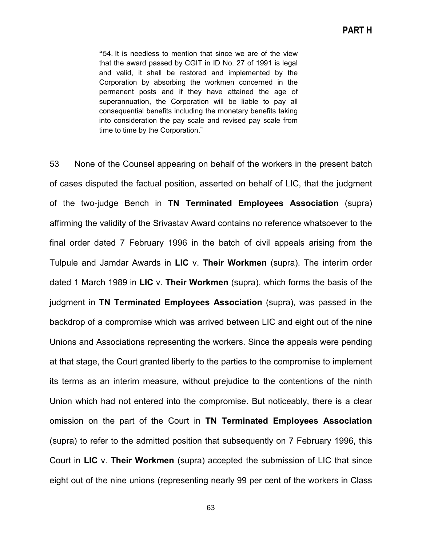**"**54. It is needless to mention that since we are of the view that the award passed by CGIT in ID No. 27 of 1991 is legal and valid, it shall be restored and implemented by the Corporation by absorbing the workmen concerned in the permanent posts and if they have attained the age of superannuation, the Corporation will be liable to pay all consequential benefits including the monetary benefits taking into consideration the pay scale and revised pay scale from time to time by the Corporation."

53 None of the Counsel appearing on behalf of the workers in the present batch of cases disputed the factual position, asserted on behalf of LIC, that the judgment of the two-judge Bench in **TN Terminated Employees Association** (supra) affirming the validity of the Srivastav Award contains no reference whatsoever to the final order dated 7 February 1996 in the batch of civil appeals arising from the Tulpule and Jamdar Awards in **LIC** v. **Their Workmen** (supra). The interim order dated 1 March 1989 in **LIC** v. **Their Workmen** (supra), which forms the basis of the judgment in **TN Terminated Employees Association** (supra), was passed in the backdrop of a compromise which was arrived between LIC and eight out of the nine Unions and Associations representing the workers. Since the appeals were pending at that stage, the Court granted liberty to the parties to the compromise to implement its terms as an interim measure, without prejudice to the contentions of the ninth Union which had not entered into the compromise. But noticeably, there is a clear omission on the part of the Court in **TN Terminated Employees Association** (supra) to refer to the admitted position that subsequently on 7 February 1996, this Court in **LIC** v. **Their Workmen** (supra) accepted the submission of LIC that since eight out of the nine unions (representing nearly 99 per cent of the workers in Class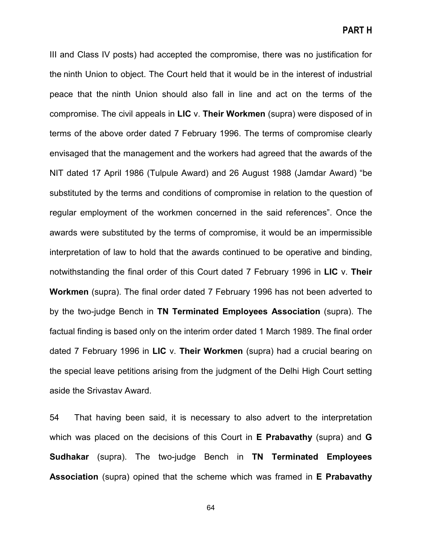III and Class IV posts) had accepted the compromise, there was no justification for the ninth Union to object. The Court held that it would be in the interest of industrial peace that the ninth Union should also fall in line and act on the terms of the compromise. The civil appeals in **LIC** v. **Their Workmen** (supra) were disposed of in terms of the above order dated 7 February 1996. The terms of compromise clearly envisaged that the management and the workers had agreed that the awards of the NIT dated 17 April 1986 (Tulpule Award) and 26 August 1988 (Jamdar Award) "be substituted by the terms and conditions of compromise in relation to the question of regular employment of the workmen concerned in the said references". Once the awards were substituted by the terms of compromise, it would be an impermissible interpretation of law to hold that the awards continued to be operative and binding, notwithstanding the final order of this Court dated 7 February 1996 in **LIC** v. **Their Workmen** (supra). The final order dated 7 February 1996 has not been adverted to by the two-judge Bench in **TN Terminated Employees Association** (supra). The factual finding is based only on the interim order dated 1 March 1989. The final order dated 7 February 1996 in **LIC** v. **Their Workmen** (supra) had a crucial bearing on the special leave petitions arising from the judgment of the Delhi High Court setting aside the Srivastav Award.

54 That having been said, it is necessary to also advert to the interpretation which was placed on the decisions of this Court in **E Prabavathy** (supra) and **G Sudhakar** (supra). The two-judge Bench in **TN Terminated Employees Association** (supra) opined that the scheme which was framed in **E Prabavathy**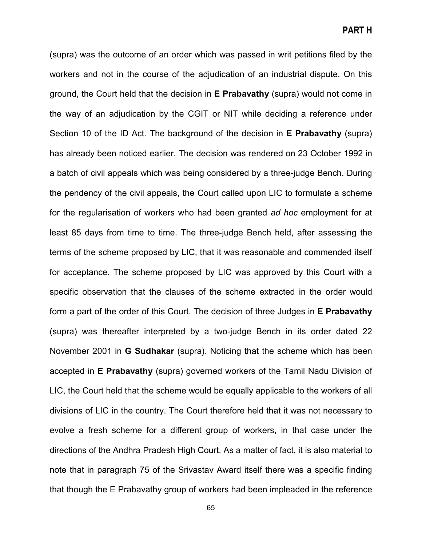**PART H**

(supra) was the outcome of an order which was passed in writ petitions filed by the workers and not in the course of the adjudication of an industrial dispute. On this ground, the Court held that the decision in **E Prabavathy** (supra) would not come in the way of an adjudication by the CGIT or NIT while deciding a reference under Section 10 of the ID Act. The background of the decision in **E Prabavathy** (supra) has already been noticed earlier. The decision was rendered on 23 October 1992 in a batch of civil appeals which was being considered by a three-judge Bench. During the pendency of the civil appeals, the Court called upon LIC to formulate a scheme for the regularisation of workers who had been granted *ad hoc* employment for at least 85 days from time to time. The three-judge Bench held, after assessing the terms of the scheme proposed by LIC, that it was reasonable and commended itself for acceptance. The scheme proposed by LIC was approved by this Court with a specific observation that the clauses of the scheme extracted in the order would form a part of the order of this Court. The decision of three Judges in **E Prabavathy** (supra) was thereafter interpreted by a two-judge Bench in its order dated 22 November 2001 in **G Sudhakar** (supra). Noticing that the scheme which has been accepted in **E Prabavathy** (supra) governed workers of the Tamil Nadu Division of LIC, the Court held that the scheme would be equally applicable to the workers of all divisions of LIC in the country. The Court therefore held that it was not necessary to evolve a fresh scheme for a different group of workers, in that case under the directions of the Andhra Pradesh High Court. As a matter of fact, it is also material to note that in paragraph 75 of the Srivastav Award itself there was a specific finding that though the E Prabavathy group of workers had been impleaded in the reference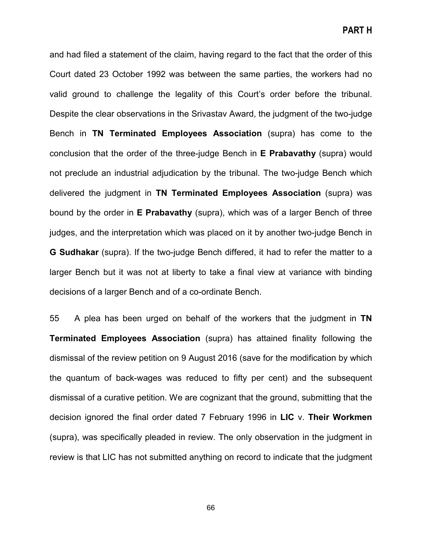and had filed a statement of the claim, having regard to the fact that the order of this Court dated 23 October 1992 was between the same parties, the workers had no valid ground to challenge the legality of this Court's order before the tribunal. Despite the clear observations in the Srivastav Award, the judgment of the two-judge Bench in **TN Terminated Employees Association** (supra) has come to the conclusion that the order of the three-judge Bench in **E Prabavathy** (supra) would not preclude an industrial adjudication by the tribunal. The two-judge Bench which delivered the judgment in **TN Terminated Employees Association** (supra) was bound by the order in **E Prabavathy** (supra), which was of a larger Bench of three judges, and the interpretation which was placed on it by another two-judge Bench in **G Sudhakar** (supra). If the two-judge Bench differed, it had to refer the matter to a larger Bench but it was not at liberty to take a final view at variance with binding decisions of a larger Bench and of a co-ordinate Bench.

55 A plea has been urged on behalf of the workers that the judgment in **TN Terminated Employees Association** (supra) has attained finality following the dismissal of the review petition on 9 August 2016 (save for the modification by which the quantum of back-wages was reduced to fifty per cent) and the subsequent dismissal of a curative petition. We are cognizant that the ground, submitting that the decision ignored the final order dated 7 February 1996 in **LIC** v. **Their Workmen**  (supra), was specifically pleaded in review. The only observation in the judgment in review is that LIC has not submitted anything on record to indicate that the judgment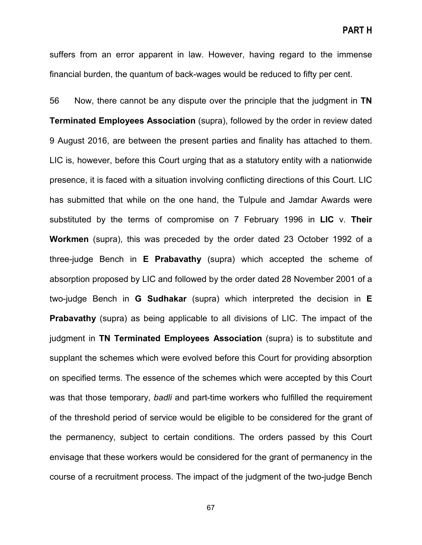suffers from an error apparent in law. However, having regard to the immense financial burden, the quantum of back-wages would be reduced to fifty per cent.

56 Now, there cannot be any dispute over the principle that the judgment in **TN Terminated Employees Association** (supra), followed by the order in review dated 9 August 2016, are between the present parties and finality has attached to them. LIC is, however, before this Court urging that as a statutory entity with a nationwide presence, it is faced with a situation involving conflicting directions of this Court. LIC has submitted that while on the one hand, the Tulpule and Jamdar Awards were substituted by the terms of compromise on 7 February 1996 in **LIC** v. **Their Workmen** (supra), this was preceded by the order dated 23 October 1992 of a three-judge Bench in **E Prabavathy** (supra) which accepted the scheme of absorption proposed by LIC and followed by the order dated 28 November 2001 of a two-judge Bench in **G Sudhakar** (supra) which interpreted the decision in **E Prabavathy** (supra) as being applicable to all divisions of LIC. The impact of the judgment in **TN Terminated Employees Association** (supra) is to substitute and supplant the schemes which were evolved before this Court for providing absorption on specified terms. The essence of the schemes which were accepted by this Court was that those temporary, *badli* and part-time workers who fulfilled the requirement of the threshold period of service would be eligible to be considered for the grant of the permanency, subject to certain conditions. The orders passed by this Court envisage that these workers would be considered for the grant of permanency in the course of a recruitment process. The impact of the judgment of the two-judge Bench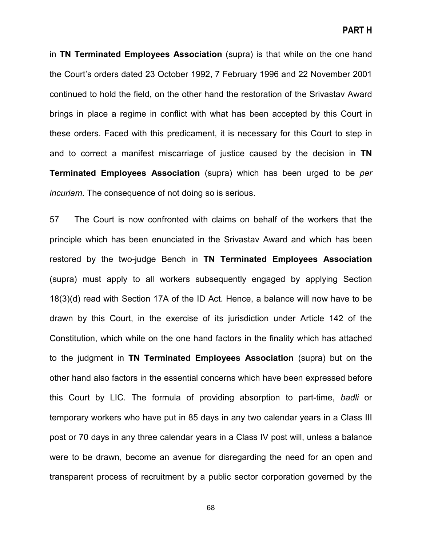in **TN Terminated Employees Association** (supra) is that while on the one hand the Court's orders dated 23 October 1992, 7 February 1996 and 22 November 2001 continued to hold the field, on the other hand the restoration of the Srivastav Award brings in place a regime in conflict with what has been accepted by this Court in these orders. Faced with this predicament, it is necessary for this Court to step in and to correct a manifest miscarriage of justice caused by the decision in **TN Terminated Employees Association** (supra) which has been urged to be *per incuriam*. The consequence of not doing so is serious.

57 The Court is now confronted with claims on behalf of the workers that the principle which has been enunciated in the Srivastav Award and which has been restored by the two-judge Bench in **TN Terminated Employees Association** (supra) must apply to all workers subsequently engaged by applying Section 18(3)(d) read with Section 17A of the ID Act. Hence, a balance will now have to be drawn by this Court, in the exercise of its jurisdiction under Article 142 of the Constitution, which while on the one hand factors in the finality which has attached to the judgment in **TN Terminated Employees Association** (supra) but on the other hand also factors in the essential concerns which have been expressed before this Court by LIC. The formula of providing absorption to part-time, *badli* or temporary workers who have put in 85 days in any two calendar years in a Class III post or 70 days in any three calendar years in a Class IV post will, unless a balance were to be drawn, become an avenue for disregarding the need for an open and transparent process of recruitment by a public sector corporation governed by the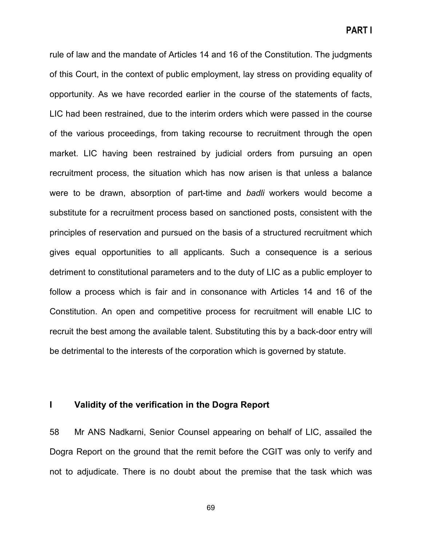**PART I**

rule of law and the mandate of Articles 14 and 16 of the Constitution. The judgments of this Court, in the context of public employment, lay stress on providing equality of opportunity. As we have recorded earlier in the course of the statements of facts, LIC had been restrained, due to the interim orders which were passed in the course of the various proceedings, from taking recourse to recruitment through the open market. LIC having been restrained by judicial orders from pursuing an open recruitment process, the situation which has now arisen is that unless a balance were to be drawn, absorption of part-time and *badli* workers would become a substitute for a recruitment process based on sanctioned posts, consistent with the principles of reservation and pursued on the basis of a structured recruitment which gives equal opportunities to all applicants. Such a consequence is a serious detriment to constitutional parameters and to the duty of LIC as a public employer to follow a process which is fair and in consonance with Articles 14 and 16 of the Constitution. An open and competitive process for recruitment will enable LIC to recruit the best among the available talent. Substituting this by a back-door entry will be detrimental to the interests of the corporation which is governed by statute.

#### **I Validity of the verification in the Dogra Report**

58 Mr ANS Nadkarni, Senior Counsel appearing on behalf of LIC, assailed the Dogra Report on the ground that the remit before the CGIT was only to verify and not to adjudicate. There is no doubt about the premise that the task which was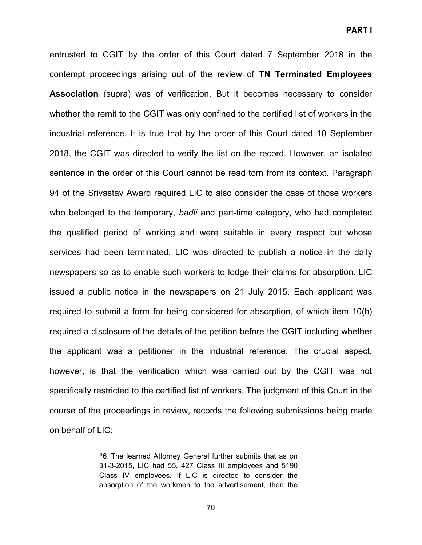entrusted to CGIT by the order of this Court dated 7 September 2018 in the contempt proceedings arising out of the review of **TN Terminated Employees Association** (supra) was of verification. But it becomes necessary to consider whether the remit to the CGIT was only confined to the certified list of workers in the industrial reference. It is true that by the order of this Court dated 10 September 2018, the CGIT was directed to verify the list on the record. However, an isolated sentence in the order of this Court cannot be read torn from its context. Paragraph 94 of the Srivastav Award required LIC to also consider the case of those workers who belonged to the temporary, *badli* and part-time category, who had completed the qualified period of working and were suitable in every respect but whose services had been terminated. LIC was directed to publish a notice in the daily newspapers so as to enable such workers to lodge their claims for absorption. LIC issued a public notice in the newspapers on 21 July 2015. Each applicant was required to submit a form for being considered for absorption, of which item 10(b) required a disclosure of the details of the petition before the CGIT including whether the applicant was a petitioner in the industrial reference. The crucial aspect, however, is that the verification which was carried out by the CGIT was not specifically restricted to the certified list of workers. The judgment of this Court in the course of the proceedings in review, records the following submissions being made on behalf of LIC:

> **"**6. The learned Attorney General further submits that as on 31-3-2015, LIC had 55, 427 Class III employees and 5190 Class IV employees. If LIC is directed to consider the absorption of the workmen to the advertisement, then the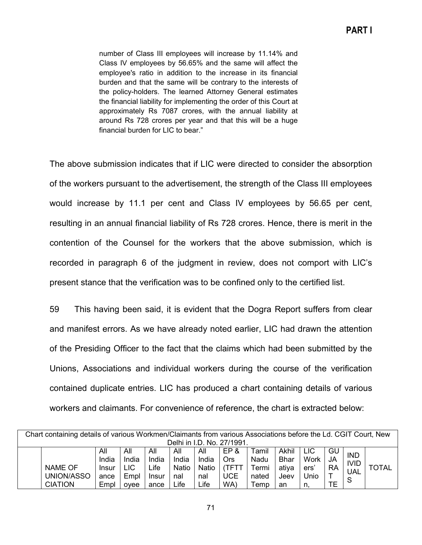number of Class III employees will increase by 11.14% and Class IV employees by 56.65% and the same will affect the employee's ratio in addition to the increase in its financial burden and that the same will be contrary to the interests of the policy-holders. The learned Attorney General estimates the financial liability for implementing the order of this Court at approximately Rs 7087 crores, with the annual liability at around Rs 728 crores per year and that this will be a huge financial burden for LIC to bear."

The above submission indicates that if LIC were directed to consider the absorption of the workers pursuant to the advertisement, the strength of the Class III employees would increase by 11.1 per cent and Class IV employees by 56.65 per cent, resulting in an annual financial liability of Rs 728 crores. Hence, there is merit in the contention of the Counsel for the workers that the above submission, which is recorded in paragraph 6 of the judgment in review, does not comport with LIC's present stance that the verification was to be confined only to the certified list.

59 This having been said, it is evident that the Dogra Report suffers from clear and manifest errors. As we have already noted earlier, LIC had drawn the attention of the Presiding Officer to the fact that the claims which had been submitted by the Unions, Associations and individual workers during the course of the verification contained duplicate entries. LIC has produced a chart containing details of various workers and claimants. For convenience of reference, the chart is extracted below:

| Chart containing details of various Workmen/Claimants from various Associations before the Ld. CGIT Court, New |                |       |            |       |       |       |            |                       |             |      |           |                 |       |
|----------------------------------------------------------------------------------------------------------------|----------------|-------|------------|-------|-------|-------|------------|-----------------------|-------------|------|-----------|-----------------|-------|
| Delhi in I.D. No. 27/1991.                                                                                     |                |       |            |       |       |       |            |                       |             |      |           |                 |       |
|                                                                                                                |                | All   | All        | All   | All   | All   | EP&        | $\mathsf{\tau}$ amil  | Akhil       | LIC  | GU        | <b>IND</b>      |       |
|                                                                                                                |                | India | India      | India | India | India | Ors        | Nadu                  | <b>Bhar</b> | Work | <b>JA</b> | <b>IVID</b>     |       |
|                                                                                                                | <b>NAME OF</b> | Insur | <b>LIC</b> | Life  | Natio | Natio | (TFTT      | Termi                 | ativa       | ers' | <b>RA</b> | <b>UAL</b><br>S | TOTAL |
|                                                                                                                | UNION/ASSO     | ance  | Empl       | Insur | nal   | nal   | <b>UCE</b> | nated                 | Jeev        | Jnio |           |                 |       |
|                                                                                                                | <b>CIATION</b> | Empl  | ovee       | ance  | Life  | Life  | WA)        | $\tau_{\mathsf{emp}}$ | an          | n.   | TЕ        |                 |       |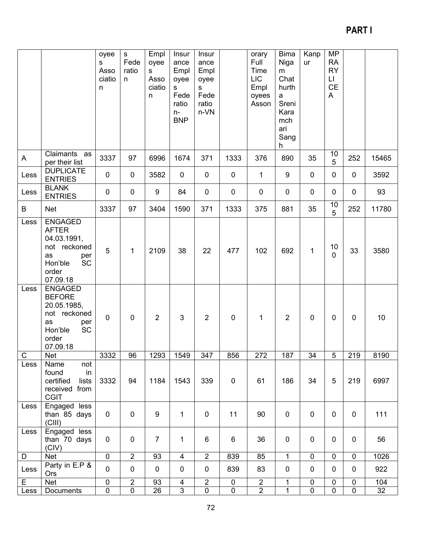# **PART I**

|                         |                                                                                                                         | oyee<br>s<br>Asso<br>ciatio<br>n | $\mathbf S$<br>Fede<br>ratio<br>n. | Empl<br>oyee<br>s<br>Asso<br>ciatio<br>n. | Insur<br>ance<br>Empl<br>oyee<br>s<br>Fede<br>ratio<br>$n-$<br><b>BNP</b> | Insur<br>ance<br>Empl<br>oyee<br>s<br>Fede<br>ratio<br>n-VN |                | orary<br>Full<br>Time<br><b>LIC</b><br>Empl<br>oyees<br>Asson | <b>Bima</b><br>Niga<br>m<br>Chat<br>hurth<br>$\mathsf{a}$<br>Sreni<br>Kara<br>mch<br>ari<br>Sang<br>h | Kanp<br>ur     | <b>MP</b><br><b>RA</b><br><b>RY</b><br>$\mathsf{L}\mathsf{I}$<br>CE<br>A |                |       |
|-------------------------|-------------------------------------------------------------------------------------------------------------------------|----------------------------------|------------------------------------|-------------------------------------------|---------------------------------------------------------------------------|-------------------------------------------------------------|----------------|---------------------------------------------------------------|-------------------------------------------------------------------------------------------------------|----------------|--------------------------------------------------------------------------|----------------|-------|
| $\mathsf{A}$            | Claimants as<br>per their list                                                                                          | 3337                             | 97                                 | 6996                                      | 1674                                                                      | 371                                                         | 1333           | 376                                                           | 890                                                                                                   | 35             | 10<br>5                                                                  | 252            | 15465 |
| Less                    | <b>DUPLICATE</b><br><b>ENTRIES</b>                                                                                      | $\mathbf 0$                      | $\pmb{0}$                          | 3582                                      | $\pmb{0}$                                                                 | $\mathbf 0$                                                 | $\mathbf 0$    | 1                                                             | 9                                                                                                     | $\mathbf 0$    | $\pmb{0}$                                                                | $\pmb{0}$      | 3592  |
| Less                    | <b>BLANK</b><br><b>ENTRIES</b>                                                                                          | $\pmb{0}$                        | $\pmb{0}$                          | $\boldsymbol{9}$                          | 84                                                                        | $\pmb{0}$                                                   | 0              | $\pmb{0}$                                                     | $\mathbf 0$                                                                                           | $\mathbf 0$    | $\pmb{0}$                                                                | $\pmb{0}$      | 93    |
| B                       | <b>Net</b>                                                                                                              | 3337                             | 97                                 | 3404                                      | 1590                                                                      | 371                                                         | 1333           | 375                                                           | 881                                                                                                   | 35             | 10<br>5                                                                  | 252            | 11780 |
| Less                    | <b>ENGAGED</b><br><b>AFTER</b><br>04.03.1991,<br>not reckoned<br>as<br>per<br><b>SC</b><br>Hon'ble<br>order<br>07.09.18 | 5                                | $\mathbf 1$                        | 2109                                      | 38                                                                        | 22                                                          | 477            | 102                                                           | 692                                                                                                   | $\mathbf{1}$   | 10<br>$\mathbf 0$                                                        | 33             | 3580  |
| Less                    | <b>ENGAGED</b><br><b>BEFORE</b><br>20.05.1985,<br>not reckoned<br>as<br>per<br>SC<br>Hon'ble<br>order<br>07.09.18       | $\mathbf 0$                      | $\pmb{0}$                          | $\overline{2}$                            | $\mathbf{3}$                                                              | $\overline{2}$                                              | $\mathbf 0$    | $\mathbf{1}$                                                  | $\overline{2}$                                                                                        | $\mathbf 0$    | $\mathbf 0$                                                              | $\mathbf 0$    | 10    |
| $\mathsf{C}$            | Net                                                                                                                     | 3332                             | 96                                 | 1293                                      | 1549                                                                      | 347                                                         | 856            | 272                                                           | 187                                                                                                   | 34             | 5                                                                        | 219            | 8190  |
| Less                    | Name<br>not<br>in<br>found<br>certified<br>lists<br>received from<br><b>CGIT</b>                                        | 3332                             | 94                                 | 1184                                      | 1543                                                                      | 339                                                         | $\mathbf 0$    | 61                                                            | 186                                                                                                   | 34             | 5                                                                        | 219            | 6997  |
| Less                    | Engaged less<br>than 85 days<br>(CIII)                                                                                  | $\mathbf 0$                      | $\mathbf 0$                        | 9                                         | 1                                                                         | $\mathbf 0$                                                 | 11             | 90                                                            | $\mathbf 0$                                                                                           | $\mathbf 0$    | $\mathbf 0$                                                              | $\mathbf 0$    | 111   |
| Less                    | Engaged less<br>than 70 days<br>(CIV)                                                                                   | $\mathbf 0$                      | $\pmb{0}$                          | $\overline{7}$                            | $\mathbf 1$                                                               | 6                                                           | 6              | 36                                                            | $\mathbf 0$                                                                                           | $\mathbf 0$    | $\mathbf 0$                                                              | 0              | 56    |
| D                       | Net                                                                                                                     | $\overline{0}$                   | $\overline{2}$                     | 93                                        | $\overline{4}$                                                            | $\overline{2}$                                              | 839            | 85                                                            | $\mathbf{1}$                                                                                          | $\overline{0}$ | $\overline{0}$                                                           | $\overline{0}$ | 1026  |
| Less                    | Party in E.P &<br><b>Ors</b>                                                                                            | $\mathbf 0$                      | $\pmb{0}$                          | $\mathbf 0$                               | $\pmb{0}$                                                                 | $\mathbf 0$                                                 | 839            | 83                                                            | $\pmb{0}$                                                                                             | $\pmb{0}$      | $\mathbf 0$                                                              | 0              | 922   |
| $\overline{\mathsf{E}}$ | Net                                                                                                                     | $\overline{0}$                   | $\overline{2}$                     | 93                                        | $\overline{4}$                                                            | $\overline{2}$                                              | $\overline{0}$ | $\overline{2}$                                                | $\overline{1}$                                                                                        | $\overline{0}$ | $\overline{0}$                                                           | $\overline{0}$ | 104   |
| Less                    | Documents                                                                                                               | $\pmb{0}$                        | $\pmb{0}$                          | 26                                        | $\overline{3}$                                                            | $\pmb{0}$                                                   | $\pmb{0}$      | $\overline{2}$                                                | $\mathbf 1$                                                                                           | $\pmb{0}$      | $\pmb{0}$                                                                | $\pmb{0}$      | 32    |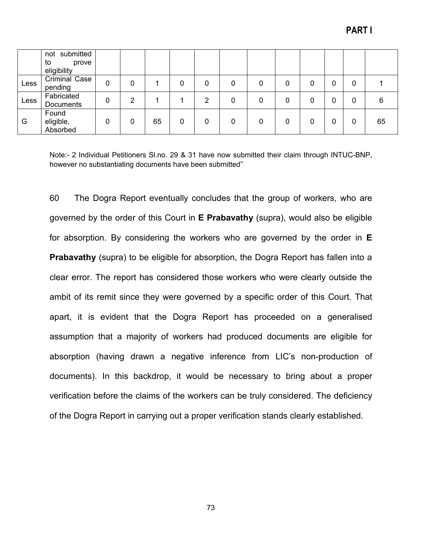|      | not submitted<br>to<br>prove   |   |   |    |   |   |   |   |   |   |   |    |
|------|--------------------------------|---|---|----|---|---|---|---|---|---|---|----|
|      | eligibility                    |   |   |    |   |   |   |   |   |   |   |    |
| Less | Criminal Case<br>pending       | 0 | 0 |    | 0 | 0 | 0 | 0 | 0 | 0 | 0 |    |
| Less | Fabricated<br>Documents        | 0 | റ |    |   | າ | 0 | 0 | 0 | 0 | 0 | 6  |
| G    | Found<br>eligible,<br>Absorbed | 0 | 0 | 65 | 0 | 0 | 0 | 0 | 0 | 0 | 0 | 65 |

Note:- 2 Individual Petitioners Sl.no. 29 & 31 have now submitted their claim through INTUC-BNP, however no substantiating documents have been submitted"

60 The Dogra Report eventually concludes that the group of workers, who are governed by the order of this Court in **E Prabavathy** (supra), would also be eligible for absorption. By considering the workers who are governed by the order in **E Prabavathy** (supra) to be eligible for absorption, the Dogra Report has fallen into a clear error. The report has considered those workers who were clearly outside the ambit of its remit since they were governed by a specific order of this Court. That apart, it is evident that the Dogra Report has proceeded on a generalised assumption that a majority of workers had produced documents are eligible for absorption (having drawn a negative inference from LIC's non-production of documents). In this backdrop, it would be necessary to bring about a proper verification before the claims of the workers can be truly considered. The deficiency of the Dogra Report in carrying out a proper verification stands clearly established.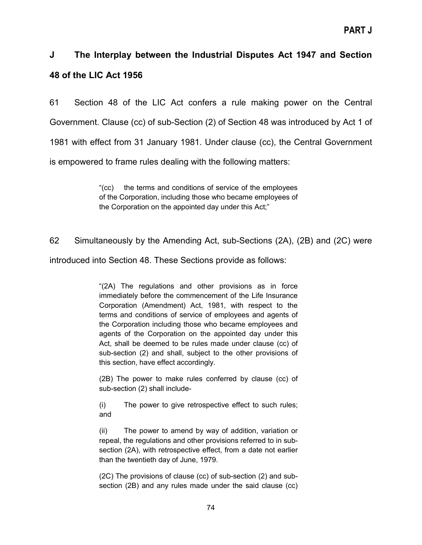## **J The Interplay between the Industrial Disputes Act 1947 and Section 48 of the LIC Act 1956**

61 Section 48 of the LIC Act confers a rule making power on the Central Government. Clause (cc) of sub-Section (2) of Section 48 was introduced by Act 1 of 1981 with effect from 31 January 1981. Under clause (cc), the Central Government is empowered to frame rules dealing with the following matters:

> "(cc) the terms and conditions of service of the employees of the Corporation, including those who became employees of the Corporation on the appointed day under this Act;"

62 Simultaneously by the Amending Act, sub-Sections (2A), (2B) and (2C) were

introduced into Section 48. These Sections provide as follows:

"(2A) The regulations and other provisions as in force immediately before the commencement of the Life Insurance Corporation (Amendment) Act, 1981, with respect to the terms and conditions of service of employees and agents of the Corporation including those who became employees and agents of the Corporation on the appointed day under this Act, shall be deemed to be rules made under clause (cc) of sub-section (2) and shall, subject to the other provisions of this section, have effect accordingly.

(2B) The power to make rules conferred by clause (cc) of sub-section (2) shall include-

(i) The power to give retrospective effect to such rules; and

(ii) The power to amend by way of addition, variation or repeal, the regulations and other provisions referred to in subsection (2A), with retrospective effect, from a date not earlier than the twentieth day of June, 1979.

(2C) The provisions of clause (cc) of sub-section (2) and subsection (2B) and any rules made under the said clause (cc)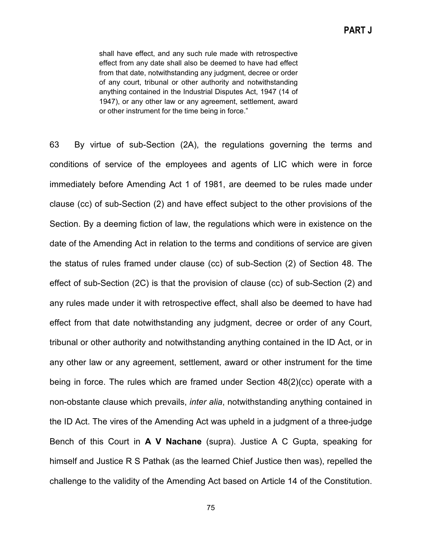shall have effect, and any such rule made with retrospective effect from any date shall also be deemed to have had effect from that date, notwithstanding any judgment, decree or order of any court, tribunal or other authority and notwithstanding anything contained in the Industrial Disputes Act, 1947 (14 of 1947), or any other law or any agreement, settlement, award or other instrument for the time being in force."

63 By virtue of sub-Section (2A), the regulations governing the terms and conditions of service of the employees and agents of LIC which were in force immediately before Amending Act 1 of 1981, are deemed to be rules made under clause (cc) of sub-Section (2) and have effect subject to the other provisions of the Section. By a deeming fiction of law, the regulations which were in existence on the date of the Amending Act in relation to the terms and conditions of service are given the status of rules framed under clause (cc) of sub-Section (2) of Section 48. The effect of sub-Section (2C) is that the provision of clause (cc) of sub-Section (2) and any rules made under it with retrospective effect, shall also be deemed to have had effect from that date notwithstanding any judgment, decree or order of any Court, tribunal or other authority and notwithstanding anything contained in the ID Act, or in any other law or any agreement, settlement, award or other instrument for the time being in force. The rules which are framed under Section 48(2)(cc) operate with a non-obstante clause which prevails, *inter alia*, notwithstanding anything contained in the ID Act. The vires of the Amending Act was upheld in a judgment of a three-judge Bench of this Court in **A V Nachane** (supra). Justice A C Gupta, speaking for himself and Justice R S Pathak (as the learned Chief Justice then was), repelled the challenge to the validity of the Amending Act based on Article 14 of the Constitution.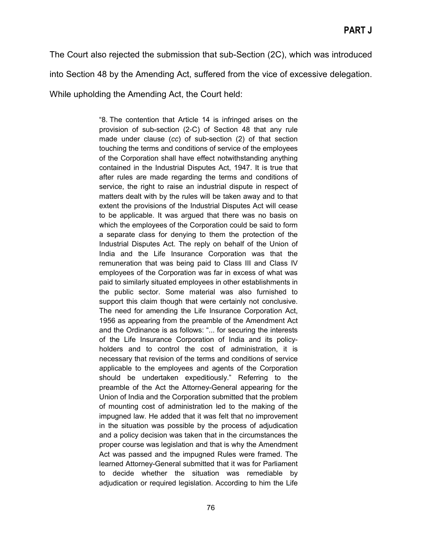The Court also rejected the submission that sub-Section (2C), which was introduced into Section 48 by the Amending Act, suffered from the vice of excessive delegation.

While upholding the Amending Act, the Court held:

"8. The contention that Article 14 is infringed arises on the provision of sub-section (2-C) of Section 48 that any rule made under clause (*cc*) of sub-section (2) of that section touching the terms and conditions of service of the employees of the Corporation shall have effect notwithstanding anything contained in the Industrial Disputes Act, 1947. It is true that after rules are made regarding the terms and conditions of service, the right to raise an industrial dispute in respect of matters dealt with by the rules will be taken away and to that extent the provisions of the Industrial Disputes Act will cease to be applicable. It was argued that there was no basis on which the employees of the Corporation could be said to form a separate class for denying to them the protection of the Industrial Disputes Act. The reply on behalf of the Union of India and the Life Insurance Corporation was that the remuneration that was being paid to Class III and Class IV employees of the Corporation was far in excess of what was paid to similarly situated employees in other establishments in the public sector. Some material was also furnished to support this claim though that were certainly not conclusive. The need for amending the Life Insurance Corporation Act, 1956 as appearing from the preamble of the Amendment Act and the Ordinance is as follows: "... for securing the interests of the Life Insurance Corporation of India and its policyholders and to control the cost of administration, it is necessary that revision of the terms and conditions of service applicable to the employees and agents of the Corporation should be undertaken expeditiously." Referring to the preamble of the Act the Attorney-General appearing for the Union of India and the Corporation submitted that the problem of mounting cost of administration led to the making of the impugned law. He added that it was felt that no improvement in the situation was possible by the process of adjudication and a policy decision was taken that in the circumstances the proper course was legislation and that is why the Amendment Act was passed and the impugned Rules were framed. The learned Attorney-General submitted that it was for Parliament to decide whether the situation was remediable by adjudication or required legislation. According to him the Life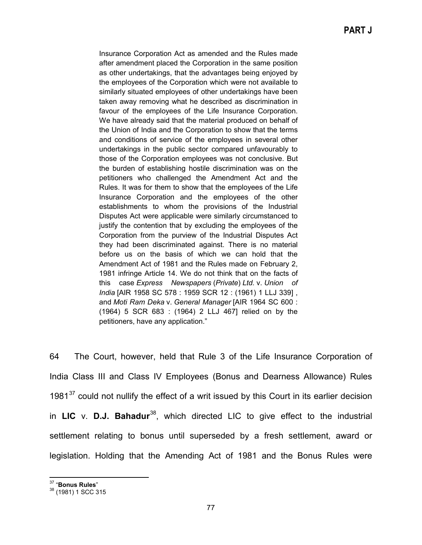Insurance Corporation Act as amended and the Rules made after amendment placed the Corporation in the same position as other undertakings, that the advantages being enjoyed by the employees of the Corporation which were not available to similarly situated employees of other undertakings have been taken away removing what he described as discrimination in favour of the employees of the Life Insurance Corporation. We have already said that the material produced on behalf of the Union of India and the Corporation to show that the terms and conditions of service of the employees in several other undertakings in the public sector compared unfavourably to those of the Corporation employees was not conclusive. But the burden of establishing hostile discrimination was on the petitioners who challenged the Amendment Act and the Rules. It was for them to show that the employees of the Life Insurance Corporation and the employees of the other establishments to whom the provisions of the Industrial Disputes Act were applicable were similarly circumstanced to justify the contention that by excluding the employees of the Corporation from the purview of the Industrial Disputes Act they had been discriminated against. There is no material before us on the basis of which we can hold that the Amendment Act of 1981 and the Rules made on February 2, 1981 infringe Article 14. We do not think that on the facts of this case *Express Newspapers* (*Private*) *Ltd.* v. *Union of India* [AIR 1958 SC 578 : 1959 SCR 12 : (1961) 1 LLJ 339] , and *Moti Ram Deka* v. *General Manager* [AIR 1964 SC 600 : (1964) 5 SCR 683 : (1964) 2 LLJ 467] relied on by the petitioners, have any application."

64 The Court, however, held that Rule 3 of the Life Insurance Corporation of India Class III and Class IV Employees (Bonus and Dearness Allowance) Rules 1981 $37$  could not nullify the effect of a writ issued by this Court in its earlier decision in **LIC** v. **D.J. Bahadur**[38,](#page-76-1) which directed LIC to give effect to the industrial settlement relating to bonus until superseded by a fresh settlement, award or legislation. Holding that the Amending Act of 1981 and the Bonus Rules were

<span id="page-76-1"></span><span id="page-76-0"></span><sup>37</sup> "**Bonus Rules**" <sup>38</sup> (1981) 1 SCC 315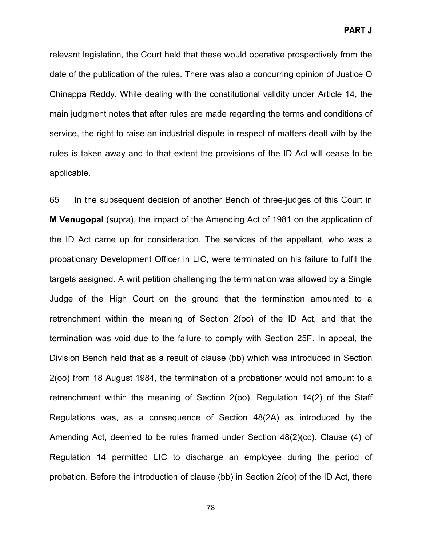relevant legislation, the Court held that these would operative prospectively from the date of the publication of the rules. There was also a concurring opinion of Justice O Chinappa Reddy. While dealing with the constitutional validity under Article 14, the main judgment notes that after rules are made regarding the terms and conditions of service, the right to raise an industrial dispute in respect of matters dealt with by the rules is taken away and to that extent the provisions of the ID Act will cease to be applicable.

65 In the subsequent decision of another Bench of three-judges of this Court in **M Venugopal** (supra), the impact of the Amending Act of 1981 on the application of the ID Act came up for consideration. The services of the appellant, who was a probationary Development Officer in LIC, were terminated on his failure to fulfil the targets assigned. A writ petition challenging the termination was allowed by a Single Judge of the High Court on the ground that the termination amounted to a retrenchment within the meaning of Section 2(oo) of the ID Act, and that the termination was void due to the failure to comply with Section 25F. In appeal, the Division Bench held that as a result of clause (bb) which was introduced in Section 2(oo) from 18 August 1984, the termination of a probationer would not amount to a retrenchment within the meaning of Section 2(oo). Regulation 14(2) of the Staff Regulations was, as a consequence of Section 48(2A) as introduced by the Amending Act, deemed to be rules framed under Section 48(2)(cc). Clause (4) of Regulation 14 permitted LIC to discharge an employee during the period of probation. Before the introduction of clause (bb) in Section 2(oo) of the ID Act, there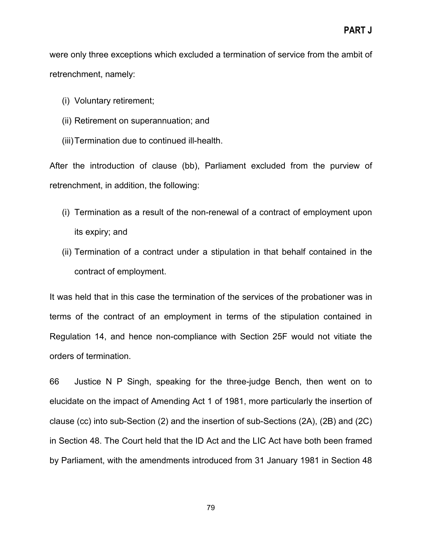were only three exceptions which excluded a termination of service from the ambit of retrenchment, namely:

- (i) Voluntary retirement;
- (ii) Retirement on superannuation; and
- (iii)Termination due to continued ill-health.

After the introduction of clause (bb), Parliament excluded from the purview of retrenchment, in addition, the following:

- (i) Termination as a result of the non-renewal of a contract of employment upon its expiry; and
- (ii) Termination of a contract under a stipulation in that behalf contained in the contract of employment.

It was held that in this case the termination of the services of the probationer was in terms of the contract of an employment in terms of the stipulation contained in Regulation 14, and hence non-compliance with Section 25F would not vitiate the orders of termination.

66 Justice N P Singh, speaking for the three-judge Bench, then went on to elucidate on the impact of Amending Act 1 of 1981, more particularly the insertion of clause (cc) into sub-Section (2) and the insertion of sub-Sections (2A), (2B) and (2C) in Section 48. The Court held that the ID Act and the LIC Act have both been framed by Parliament, with the amendments introduced from 31 January 1981 in Section 48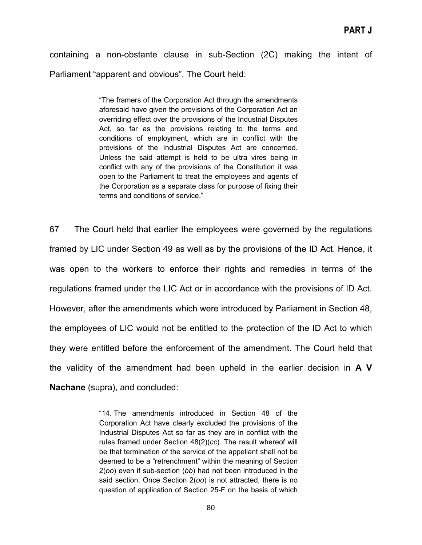containing a non-obstante clause in sub-Section (2C) making the intent of Parliament "apparent and obvious". The Court held:

> "The framers of the Corporation Act through the amendments aforesaid have given the provisions of the Corporation Act an overriding effect over the provisions of the Industrial Disputes Act, so far as the provisions relating to the terms and conditions of employment, which are in conflict with the provisions of the Industrial Disputes Act are concerned. Unless the said attempt is held to be ultra vires being in conflict with any of the provisions of the Constitution it was open to the Parliament to treat the employees and agents of the Corporation as a separate class for purpose of fixing their terms and conditions of service."

67 The Court held that earlier the employees were governed by the regulations framed by LIC under Section 49 as well as by the provisions of the ID Act. Hence, it was open to the workers to enforce their rights and remedies in terms of the regulations framed under the LIC Act or in accordance with the provisions of ID Act. However, after the amendments which were introduced by Parliament in Section 48, the employees of LIC would not be entitled to the protection of the ID Act to which they were entitled before the enforcement of the amendment. The Court held that the validity of the amendment had been upheld in the earlier decision in **A V Nachane** (supra), and concluded:

> "14. The amendments introduced in Section 48 of the Corporation Act have clearly excluded the provisions of the Industrial Disputes Act so far as they are in conflict with the rules framed under Section 48(2)(*cc*). The result whereof will be that termination of the service of the appellant shall not be deemed to be a "retrenchment" within the meaning of Section 2(*oo*) even if sub-section (*bb*) had not been introduced in the said section. Once Section 2(*oo*) is not attracted, there is no question of application of Section 25-F on the basis of which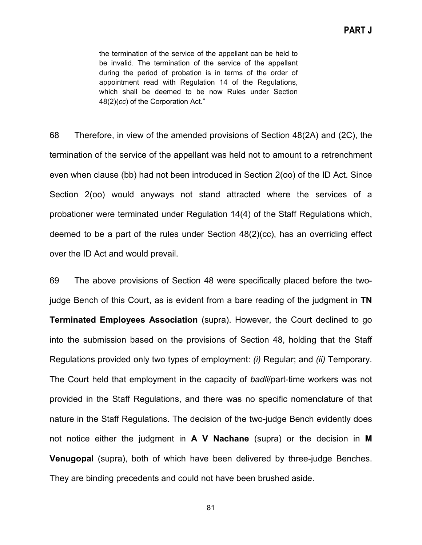the termination of the service of the appellant can be held to be invalid. The termination of the service of the appellant during the period of probation is in terms of the order of appointment read with Regulation 14 of the Regulations, which shall be deemed to be now Rules under Section 48(2)(*cc*) of the Corporation Act."

68 Therefore, in view of the amended provisions of Section 48(2A) and (2C), the termination of the service of the appellant was held not to amount to a retrenchment even when clause (bb) had not been introduced in Section 2(oo) of the ID Act. Since Section 2(oo) would anyways not stand attracted where the services of a probationer were terminated under Regulation 14(4) of the Staff Regulations which, deemed to be a part of the rules under Section 48(2)(cc), has an overriding effect over the ID Act and would prevail.

69 The above provisions of Section 48 were specifically placed before the twojudge Bench of this Court, as is evident from a bare reading of the judgment in **TN Terminated Employees Association** (supra). However, the Court declined to go into the submission based on the provisions of Section 48, holding that the Staff Regulations provided only two types of employment: *(i)* Regular; and *(ii)* Temporary. The Court held that employment in the capacity of *badli*/part-time workers was not provided in the Staff Regulations, and there was no specific nomenclature of that nature in the Staff Regulations. The decision of the two-judge Bench evidently does not notice either the judgment in **A V Nachane** (supra) or the decision in **M Venugopal** (supra), both of which have been delivered by three-judge Benches. They are binding precedents and could not have been brushed aside.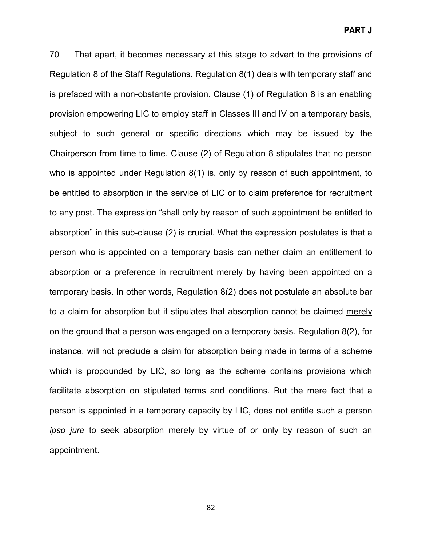70 That apart, it becomes necessary at this stage to advert to the provisions of Regulation 8 of the Staff Regulations. Regulation 8(1) deals with temporary staff and is prefaced with a non-obstante provision. Clause (1) of Regulation 8 is an enabling provision empowering LIC to employ staff in Classes III and IV on a temporary basis, subject to such general or specific directions which may be issued by the Chairperson from time to time. Clause (2) of Regulation 8 stipulates that no person who is appointed under Regulation 8(1) is, only by reason of such appointment, to be entitled to absorption in the service of LIC or to claim preference for recruitment to any post. The expression "shall only by reason of such appointment be entitled to absorption" in this sub-clause (2) is crucial. What the expression postulates is that a person who is appointed on a temporary basis can nether claim an entitlement to absorption or a preference in recruitment merely by having been appointed on a temporary basis. In other words, Regulation 8(2) does not postulate an absolute bar to a claim for absorption but it stipulates that absorption cannot be claimed merely on the ground that a person was engaged on a temporary basis. Regulation 8(2), for instance, will not preclude a claim for absorption being made in terms of a scheme which is propounded by LIC, so long as the scheme contains provisions which facilitate absorption on stipulated terms and conditions. But the mere fact that a person is appointed in a temporary capacity by LIC, does not entitle such a person *ipso jure* to seek absorption merely by virtue of or only by reason of such an appointment.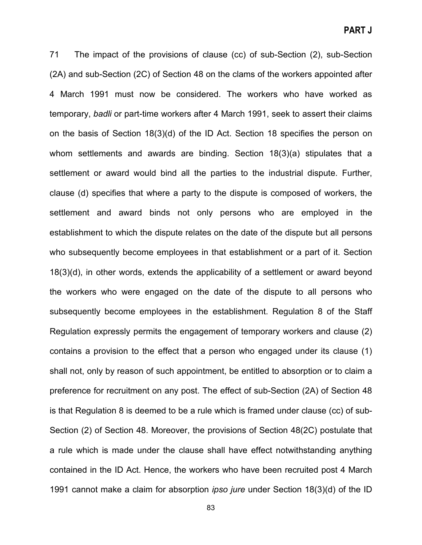71 The impact of the provisions of clause (cc) of sub-Section (2), sub-Section (2A) and sub-Section (2C) of Section 48 on the clams of the workers appointed after 4 March 1991 must now be considered. The workers who have worked as temporary, *badli* or part-time workers after 4 March 1991, seek to assert their claims on the basis of Section 18(3)(d) of the ID Act. Section 18 specifies the person on whom settlements and awards are binding. Section 18(3)(a) stipulates that a settlement or award would bind all the parties to the industrial dispute. Further, clause (d) specifies that where a party to the dispute is composed of workers, the settlement and award binds not only persons who are employed in the establishment to which the dispute relates on the date of the dispute but all persons who subsequently become employees in that establishment or a part of it. Section 18(3)(d), in other words, extends the applicability of a settlement or award beyond the workers who were engaged on the date of the dispute to all persons who subsequently become employees in the establishment. Regulation 8 of the Staff Regulation expressly permits the engagement of temporary workers and clause (2) contains a provision to the effect that a person who engaged under its clause (1) shall not, only by reason of such appointment, be entitled to absorption or to claim a preference for recruitment on any post. The effect of sub-Section (2A) of Section 48 is that Regulation 8 is deemed to be a rule which is framed under clause (cc) of sub-Section (2) of Section 48. Moreover, the provisions of Section 48(2C) postulate that a rule which is made under the clause shall have effect notwithstanding anything contained in the ID Act. Hence, the workers who have been recruited post 4 March 1991 cannot make a claim for absorption *ipso jure* under Section 18(3)(d) of the ID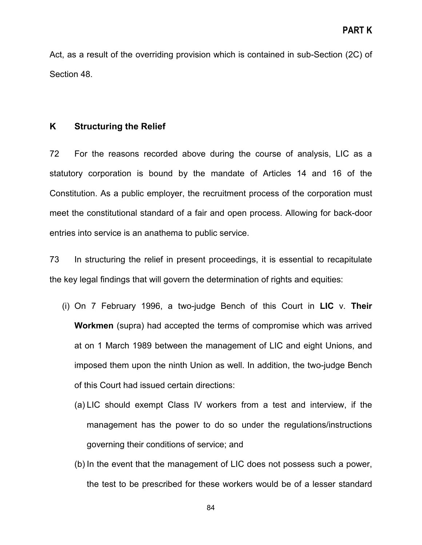Act, as a result of the overriding provision which is contained in sub-Section (2C) of Section 48.

## **K Structuring the Relief**

72 For the reasons recorded above during the course of analysis, LIC as a statutory corporation is bound by the mandate of Articles 14 and 16 of the Constitution. As a public employer, the recruitment process of the corporation must meet the constitutional standard of a fair and open process. Allowing for back-door entries into service is an anathema to public service.

73 In structuring the relief in present proceedings, it is essential to recapitulate the key legal findings that will govern the determination of rights and equities:

- (i) On 7 February 1996, a two-judge Bench of this Court in **LIC** v. **Their Workmen** (supra) had accepted the terms of compromise which was arrived at on 1 March 1989 between the management of LIC and eight Unions, and imposed them upon the ninth Union as well. In addition, the two-judge Bench of this Court had issued certain directions:
	- (a) LIC should exempt Class IV workers from a test and interview, if the management has the power to do so under the regulations/instructions governing their conditions of service; and
	- (b) In the event that the management of LIC does not possess such a power, the test to be prescribed for these workers would be of a lesser standard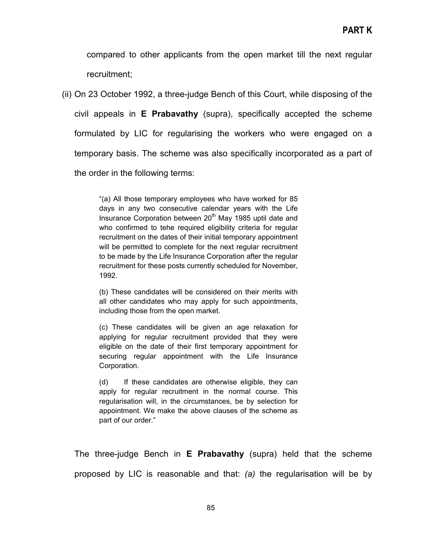compared to other applicants from the open market till the next regular recruitment;

(ii) On 23 October 1992, a three-judge Bench of this Court, while disposing of the civil appeals in **E Prabavathy** (supra), specifically accepted the scheme formulated by LIC for regularising the workers who were engaged on a temporary basis. The scheme was also specifically incorporated as a part of the order in the following terms:

> "(a) All those temporary employees who have worked for 85 days in any two consecutive calendar years with the Life Insurance Corporation between 20<sup>th</sup> May 1985 uptil date and who confirmed to tehe required eligibility criteria for regular recruitment on the dates of their initial temporary appointment will be permitted to complete for the next regular recruitment to be made by the Life Insurance Corporation after the regular recruitment for these posts currently scheduled for November, 1992.

> (b) These candidates will be considered on their merits with all other candidates who may apply for such appointments, including those from the open market.

> (c) These candidates will be given an age relaxation for applying for regular recruitment provided that they were eligible on the date of their first temporary appointment for securing regular appointment with the Life Insurance Corporation.

> (d) If these candidates are otherwise eligible, they can apply for regular recruitment in the normal course. This regularisation will, in the circumstances, be by selection for appointment. We make the above clauses of the scheme as part of our order."

The three-judge Bench in **E Prabavathy** (supra) held that the scheme proposed by LIC is reasonable and that: *(a)* the regularisation will be by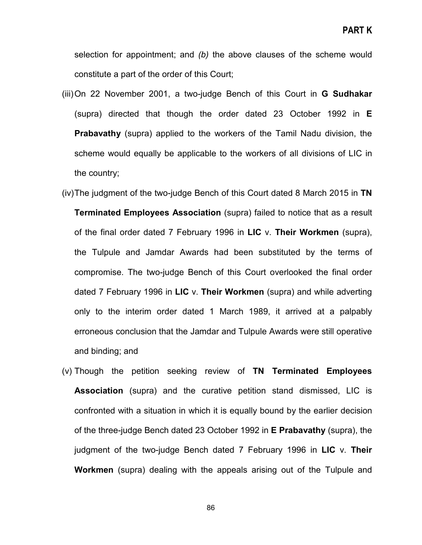selection for appointment; and *(b)* the above clauses of the scheme would constitute a part of the order of this Court;

- (iii)On 22 November 2001, a two-judge Bench of this Court in **G Sudhakar** (supra) directed that though the order dated 23 October 1992 in **E Prabavathy** (supra) applied to the workers of the Tamil Nadu division, the scheme would equally be applicable to the workers of all divisions of LIC in the country;
- (iv)The judgment of the two-judge Bench of this Court dated 8 March 2015 in **TN Terminated Employees Association** (supra) failed to notice that as a result of the final order dated 7 February 1996 in **LIC** v. **Their Workmen** (supra), the Tulpule and Jamdar Awards had been substituted by the terms of compromise. The two-judge Bench of this Court overlooked the final order dated 7 February 1996 in **LIC** v. **Their Workmen** (supra) and while adverting only to the interim order dated 1 March 1989, it arrived at a palpably erroneous conclusion that the Jamdar and Tulpule Awards were still operative and binding; and
- (v) Though the petition seeking review of **TN Terminated Employees Association** (supra) and the curative petition stand dismissed, LIC is confronted with a situation in which it is equally bound by the earlier decision of the three-judge Bench dated 23 October 1992 in **E Prabavathy** (supra), the judgment of the two-judge Bench dated 7 February 1996 in **LIC** v. **Their Workmen** (supra) dealing with the appeals arising out of the Tulpule and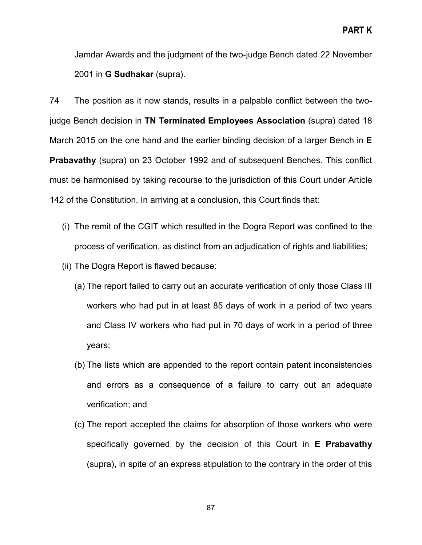Jamdar Awards and the judgment of the two-judge Bench dated 22 November 2001 in **G Sudhakar** (supra).

74 The position as it now stands, results in a palpable conflict between the twojudge Bench decision in **TN Terminated Employees Association** (supra) dated 18 March 2015 on the one hand and the earlier binding decision of a larger Bench in **E Prabavathy** (supra) on 23 October 1992 and of subsequent Benches. This conflict must be harmonised by taking recourse to the jurisdiction of this Court under Article 142 of the Constitution. In arriving at a conclusion, this Court finds that:

- (i) The remit of the CGIT which resulted in the Dogra Report was confined to the process of verification, as distinct from an adjudication of rights and liabilities;
- (ii) The Dogra Report is flawed because:
	- (a) The report failed to carry out an accurate verification of only those Class III workers who had put in at least 85 days of work in a period of two years and Class IV workers who had put in 70 days of work in a period of three years;
	- (b) The lists which are appended to the report contain patent inconsistencies and errors as a consequence of a failure to carry out an adequate verification; and
	- (c) The report accepted the claims for absorption of those workers who were specifically governed by the decision of this Court in **E Prabavathy** (supra), in spite of an express stipulation to the contrary in the order of this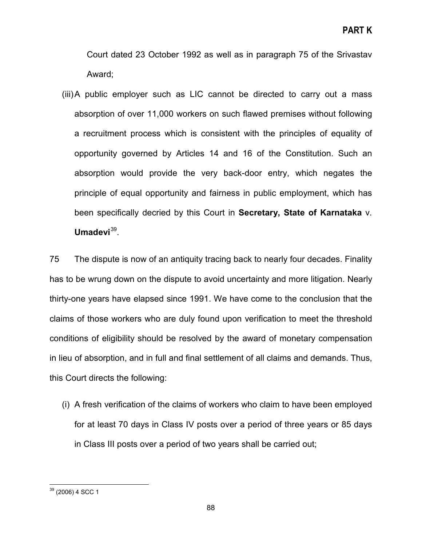Court dated 23 October 1992 as well as in paragraph 75 of the Srivastav Award;

(iii)A public employer such as LIC cannot be directed to carry out a mass absorption of over 11,000 workers on such flawed premises without following a recruitment process which is consistent with the principles of equality of opportunity governed by Articles 14 and 16 of the Constitution. Such an absorption would provide the very back-door entry, which negates the principle of equal opportunity and fairness in public employment, which has been specifically decried by this Court in **Secretary, State of Karnataka** v. Umadevi<sup>39</sup>.

75 The dispute is now of an antiquity tracing back to nearly four decades. Finality has to be wrung down on the dispute to avoid uncertainty and more litigation. Nearly thirty-one years have elapsed since 1991. We have come to the conclusion that the claims of those workers who are duly found upon verification to meet the threshold conditions of eligibility should be resolved by the award of monetary compensation in lieu of absorption, and in full and final settlement of all claims and demands. Thus, this Court directs the following:

(i) A fresh verification of the claims of workers who claim to have been employed for at least 70 days in Class IV posts over a period of three years or 85 days in Class III posts over a period of two years shall be carried out;

<span id="page-87-0"></span><sup>39</sup> (2006) 4 SCC 1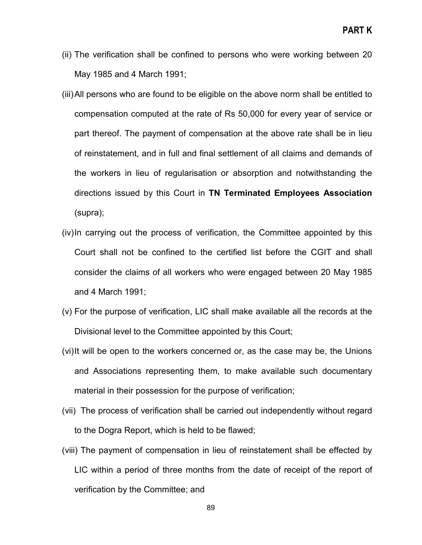- (ii) The verification shall be confined to persons who were working between 20 May 1985 and 4 March 1991;
- (iii)All persons who are found to be eligible on the above norm shall be entitled to compensation computed at the rate of Rs 50,000 for every year of service or part thereof. The payment of compensation at the above rate shall be in lieu of reinstatement, and in full and final settlement of all claims and demands of the workers in lieu of regularisation or absorption and notwithstanding the directions issued by this Court in **TN Terminated Employees Association** (supra);
- (iv)In carrying out the process of verification, the Committee appointed by this Court shall not be confined to the certified list before the CGIT and shall consider the claims of all workers who were engaged between 20 May 1985 and 4 March 1991;
- (v) For the purpose of verification, LIC shall make available all the records at the Divisional level to the Committee appointed by this Court;
- (vi)It will be open to the workers concerned or, as the case may be, the Unions and Associations representing them, to make available such documentary material in their possession for the purpose of verification;
- (vii) The process of verification shall be carried out independently without regard to the Dogra Report, which is held to be flawed;
- (viii) The payment of compensation in lieu of reinstatement shall be effected by LIC within a period of three months from the date of receipt of the report of verification by the Committee; and